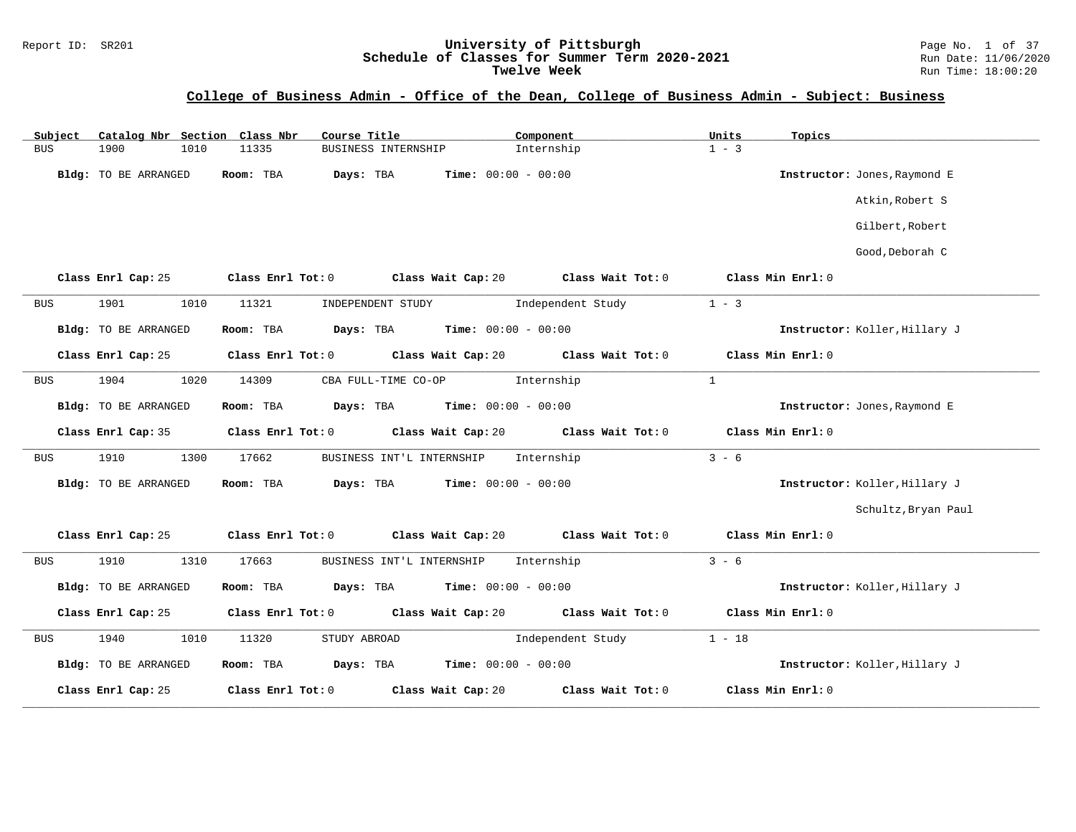#### Report ID: SR201 **University of Pittsburgh** Page No. 1 of 37 **Schedule of Classes for Summer Term 2020-2021** Run Date: 11/06/2020 **Twelve Week** Run Time: 18:00:20

## **College of Business Admin - Office of the Dean, College of Business Admin - Subject: Business**

| Catalog Nbr Section Class Nbr<br>Subject | Course Title                                    | Component                    | Units<br>Topics               |
|------------------------------------------|-------------------------------------------------|------------------------------|-------------------------------|
| <b>BUS</b><br>1900<br>1010               | 11335<br>BUSINESS INTERNSHIP                    | Internship                   | $1 - 3$                       |
| Bldg: TO BE ARRANGED                     | Room: TBA<br>Days: TBA                          | Time: $00:00 - 00:00$        | Instructor: Jones, Raymond E  |
|                                          |                                                 |                              | Atkin, Robert S               |
|                                          |                                                 |                              | Gilbert, Robert               |
|                                          |                                                 |                              | Good, Deborah C               |
| Class Enrl Cap: 25                       | Class Enrl Tot: 0<br>Class Wait Cap: 20         | Class Wait Tot: 0            | Class Min Enrl: 0             |
| 1901<br>1010<br><b>BUS</b>               | 11321<br>INDEPENDENT STUDY                      | Independent Study            | $1 - 3$                       |
| Bldg: TO BE ARRANGED                     | Room: TBA<br>Days: TBA                          | Time: $00:00 - 00:00$        | Instructor: Koller, Hillary J |
| Class Enrl Cap: 25                       | Class Enrl Tot: 0<br>Class Wait Cap: 20         | Class Wait Tot: 0            | Class Min Enrl: 0             |
| 1904<br><b>BUS</b><br>1020               | 14309<br>CBA FULL-TIME CO-OP                    | Internship                   | $\mathbf{1}$                  |
| Bldg: TO BE ARRANGED                     | Room: TBA<br>Days: TBA                          | <b>Time:</b> $00:00 - 00:00$ | Instructor: Jones, Raymond E  |
| Class Enrl Cap: 35                       | Class Enrl Tot: 0<br>Class Wait Cap: 20         | Class Wait Tot: 0            | Class Min Enrl: 0             |
| 1910<br>1300<br><b>BUS</b>               | 17662<br>BUSINESS INT'L INTERNSHIP              | Internship                   | $3 - 6$                       |
| Bldg: TO BE ARRANGED                     | Room: TBA<br>Days: TBA                          | Time: $00:00 - 00:00$        | Instructor: Koller, Hillary J |
|                                          |                                                 |                              | Schultz, Bryan Paul           |
| Class Enrl Cap: 25                       | Class Enrl Tot: 0<br>Class Wait Cap: 20         | Class Wait Tot: 0            | Class Min Enrl: 0             |
| 1910<br>1310<br><b>BUS</b>               | 17663<br>BUSINESS INT'L INTERNSHIP              | Internship                   | $3 - 6$                       |
| Bldg: TO BE ARRANGED                     | Room: TBA<br>Days: TBA                          | <b>Time:</b> $00:00 - 00:00$ | Instructor: Koller, Hillary J |
| Class Enrl Cap: 25                       | Class Enrl Tot: 0<br>Class Wait Cap: 20         | Class Wait Tot: 0            | Class Min Enrl: 0             |
| 1940<br>1010<br>BUS                      | 11320<br>STUDY ABROAD                           | Independent Study            | $1 - 18$                      |
| Bldg: TO BE ARRANGED                     | $Time: 00:00 - 00:00$<br>Room: TBA<br>Days: TBA |                              | Instructor: Koller, Hillary J |
| Class Enrl Cap: 25                       | Class Enrl Tot: 0<br>Class Wait Cap: 20         | Class Wait Tot: 0            | Class Min Enrl: 0             |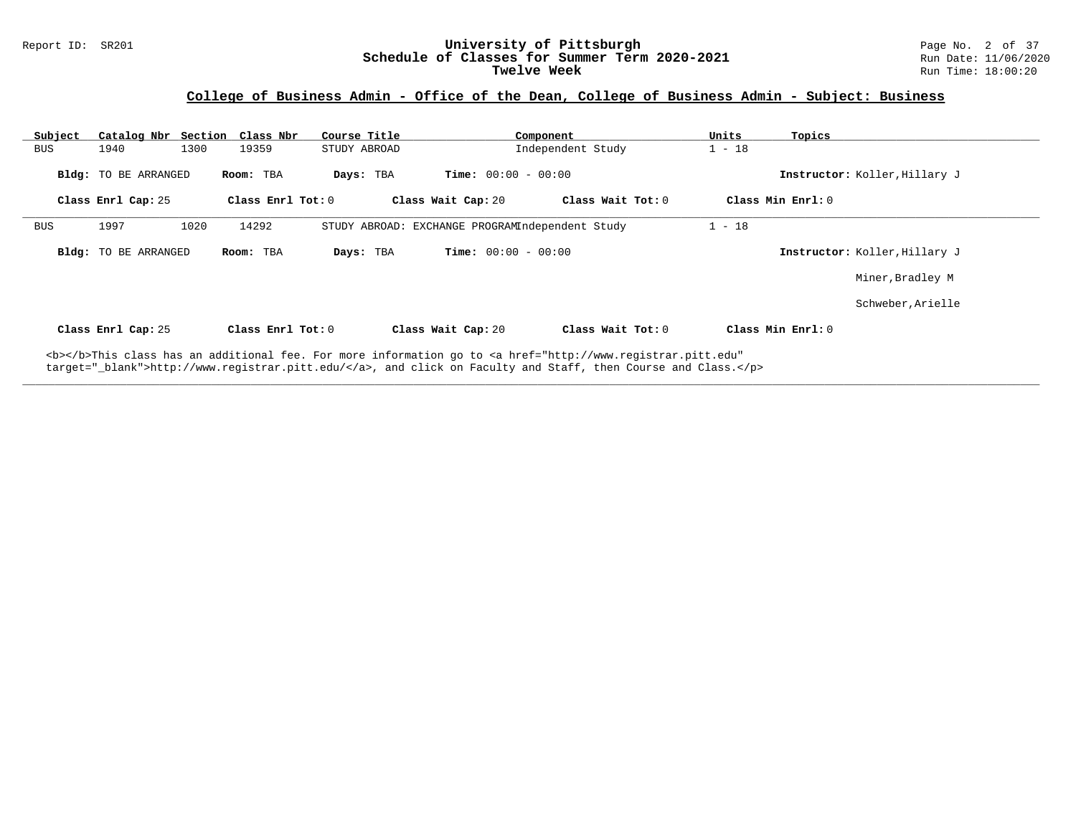#### Report ID: SR201 **University of Pittsburgh** Page No. 2 of 37 **Schedule of Classes for Summer Term 2020-2021** Run Date: 11/06/2020 **Twelve Week** Run Time: 18:00:20

## **College of Business Admin - Office of the Dean, College of Business Admin - Subject: Business**

| Subject    |                             | Catalog Nbr Section Class Nbr | Course Title      |                                                 | Component                                                                                                                                                                                                                          | Units    | Topics                        |
|------------|-----------------------------|-------------------------------|-------------------|-------------------------------------------------|------------------------------------------------------------------------------------------------------------------------------------------------------------------------------------------------------------------------------------|----------|-------------------------------|
| <b>BUS</b> | 1940                        | 1300<br>19359                 | STUDY ABROAD      |                                                 | Independent Study                                                                                                                                                                                                                  | $1 - 18$ |                               |
|            | <b>Bldg:</b> TO BE ARRANGED | Room: TBA                     | Days: TBA         | <b>Time:</b> $00:00 - 00:00$                    |                                                                                                                                                                                                                                    |          | Instructor: Koller, Hillary J |
|            | Class Enrl Cap: 25          |                               | Class Enrl Tot: 0 | Class Wait Cap: 20                              | Class Wait Tot: 0                                                                                                                                                                                                                  |          | Class Min Enrl: 0             |
| <b>BUS</b> | 1997                        | 14292<br>1020                 |                   | STUDY ABROAD: EXCHANGE PROGRAMIndependent Study |                                                                                                                                                                                                                                    | $1 - 18$ |                               |
|            | <b>Bldg:</b> TO BE ARRANGED | Room: TBA                     | Days: TBA         | <b>Time:</b> $00:00 - 00:00$                    |                                                                                                                                                                                                                                    |          | Instructor: Koller, Hillary J |
|            |                             |                               |                   |                                                 |                                                                                                                                                                                                                                    |          | Miner, Bradley M              |
|            |                             |                               |                   |                                                 |                                                                                                                                                                                                                                    |          | Schweber, Arielle             |
|            | Class Enrl Cap: 25          |                               | Class Enrl Tot: 0 | Class Wait Cap: 20                              | Class Wait Tot: 0                                                                                                                                                                                                                  |          | Class Min Enrl: 0             |
|            |                             |                               |                   |                                                 | <b></b> This class has an additional fee. For more information go to <a <br="" href="http://www.registrar.pitt.edu">target="_blank"&gt;http://www.registrar.pitt.edu/</a> , and click on Faculty and Staff, then Course and Class. |          |                               |

**\_\_\_\_\_\_\_\_\_\_\_\_\_\_\_\_\_\_\_\_\_\_\_\_\_\_\_\_\_\_\_\_\_\_\_\_\_\_\_\_\_\_\_\_\_\_\_\_\_\_\_\_\_\_\_\_\_\_\_\_\_\_\_\_\_\_\_\_\_\_\_\_\_\_\_\_\_\_\_\_\_\_\_\_\_\_\_\_\_\_\_\_\_\_\_\_\_\_\_\_\_\_\_\_\_\_\_\_\_\_\_\_\_\_\_\_\_\_\_\_\_\_\_\_\_\_\_\_\_\_\_\_\_\_\_\_\_\_\_\_\_\_\_\_\_\_\_\_\_\_\_\_\_\_\_\_**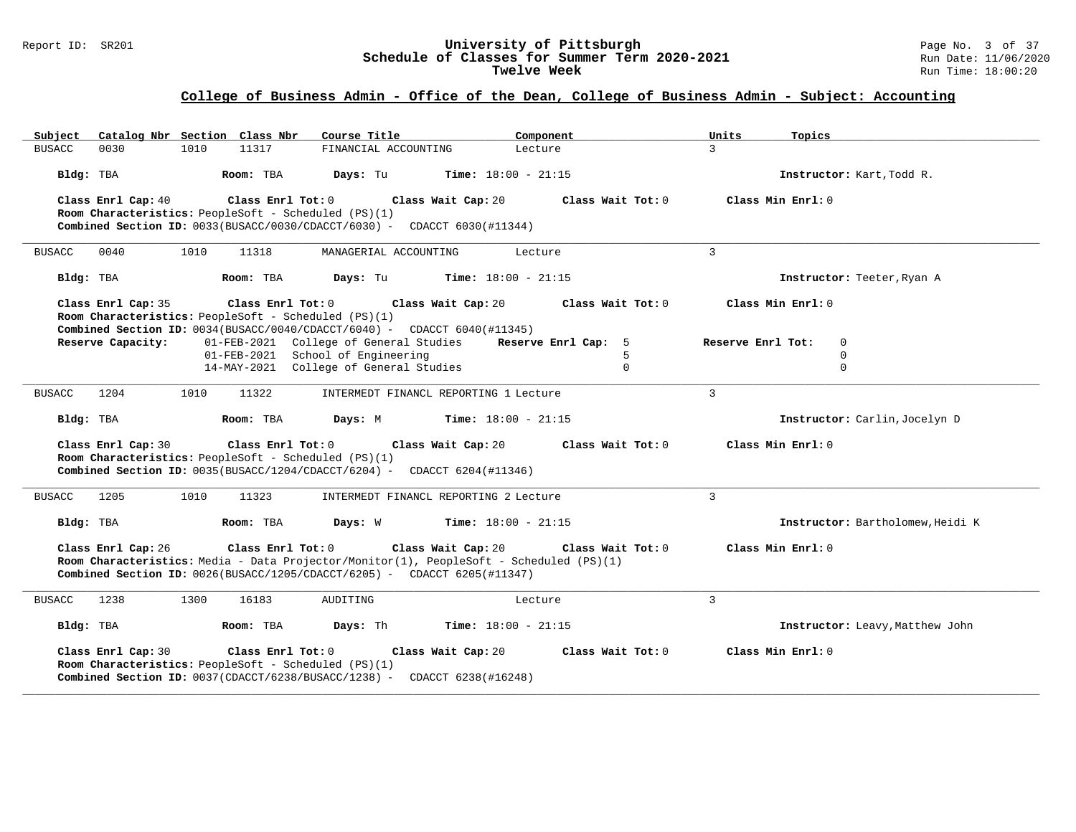#### Report ID: SR201 **University of Pittsburgh** Page No. 3 of 37 **Schedule of Classes for Summer Term 2020-2021** Run Date: 11/06/2020 **Twelve Week** Run Time: 18:00:20

## **College of Business Admin - Office of the Dean, College of Business Admin - Subject: Accounting**

| Catalog Nbr Section Class Nbr<br>Subject                                                                                                                                                                        | Course Title                           | Component                    | Units<br>Topics   |                                  |
|-----------------------------------------------------------------------------------------------------------------------------------------------------------------------------------------------------------------|----------------------------------------|------------------------------|-------------------|----------------------------------|
| <b>BUSACC</b><br>0030<br>1010<br>11317                                                                                                                                                                          | FINANCIAL ACCOUNTING                   | Lecture                      | $\mathbf{R}$      |                                  |
| Room: TBA<br>Bldg: TBA                                                                                                                                                                                          | Days: Tu                               | <b>Time:</b> $18:00 - 21:15$ |                   | Instructor: Kart, Todd R.        |
| Class Enrl Cap: 40<br>Class Enrl Tot: 0<br>Room Characteristics: PeopleSoft - Scheduled (PS)(1)<br>Combined Section ID: $0033(BUSACC/0030/CDACC/6030)$ - CDACCT 6030(#11344)                                    | Class Wait Cap: 20                     | Class Wait Tot: 0            | Class Min Enrl: 0 |                                  |
| 1010<br>0040<br>11318<br><b>BUSACC</b>                                                                                                                                                                          | MANAGERIAL ACCOUNTING                  | Lecture                      | 3                 |                                  |
| Room: TBA<br>Bldg: TBA                                                                                                                                                                                          | Days: Tu                               | <b>Time:</b> $18:00 - 21:15$ |                   | Instructor: Teeter, Ryan A       |
| Class Enrl Cap: 35<br>Class Enrl Tot: 0<br>Room Characteristics: PeopleSoft - Scheduled (PS)(1)<br>Combined Section ID: $0034(BUSACC/0040/CDACCT/6040)$ - CDACCT 6040(#11345)                                   | Class Wait Cap: 20                     | Class Wait Tot: 0            | Class Min Enrl: 0 |                                  |
| Reserve Capacity:                                                                                                                                                                                               | 01-FEB-2021 College of General Studies | Reserve Enrl Cap: 5          | Reserve Enrl Tot: | $\mathbf 0$                      |
|                                                                                                                                                                                                                 | 01-FEB-2021 School of Engineering      | 5                            |                   | $\mathbf 0$                      |
|                                                                                                                                                                                                                 | 14-MAY-2021 College of General Studies | $\Omega$                     |                   | $\Omega$                         |
| 1204<br>1010<br>11322<br><b>BUSACC</b>                                                                                                                                                                          | INTERMEDT FINANCL REPORTING 1 Lecture  |                              | $\overline{3}$    |                                  |
| Room: TBA<br>Bldg: TBA                                                                                                                                                                                          | Days: M                                | <b>Time:</b> $18:00 - 21:15$ |                   | Instructor: Carlin, Jocelyn D    |
| Class Enrl Cap: 30<br>Class Enrl Tot: 0<br>Room Characteristics: PeopleSoft - Scheduled (PS)(1)<br>Combined Section ID: $0035(BUSACC/1204/CDACC/6204)$ - CDACCT 6204(#11346)                                    | Class Wait Cap: 20                     | Class Wait Tot: 0            | Class Min Enrl: 0 |                                  |
| 1010<br><b>BUSACC</b><br>1205<br>11323                                                                                                                                                                          | INTERMEDT FINANCL REPORTING 2 Lecture  |                              | 3                 |                                  |
| Bldg: TBA<br>Room: TBA                                                                                                                                                                                          | Days: W                                | <b>Time:</b> $18:00 - 21:15$ |                   | Instructor: Bartholomew, Heidi K |
| Class Enrl Cap: 26<br>Class Enrl Tot: 0<br>Room Characteristics: Media - Data Projector/Monitor(1), PeopleSoft - Scheduled (PS)(1)<br>Combined Section ID: $0026(BUSACC/1205/CDACC/6205)$ - CDACCT 6205(#11347) | Class Wait Cap: 20                     | Class Wait Tot: 0            | Class Min Enrl: 0 |                                  |
| 1238<br>1300<br>16183<br><b>BUSACC</b>                                                                                                                                                                          | AUDITING                               | Lecture                      | $\overline{3}$    |                                  |
| Bldg: TBA<br>Room: TBA                                                                                                                                                                                          | Days: Th                               | <b>Time:</b> $18:00 - 21:15$ |                   | Instructor: Leavy, Matthew John  |
| Class Enrl Cap: 30<br>$Class$ $Enr1$ $Tot: 0$<br>Room Characteristics: PeopleSoft - Scheduled (PS)(1)<br><b>Combined Section ID:</b> $0037$ (CDACCT/6238/BUSACC/1238) - CDACCT 6238(#16248)                     | Class Wait Cap: 20                     | Class Wait Tot: 0            | Class Min Enrl: 0 |                                  |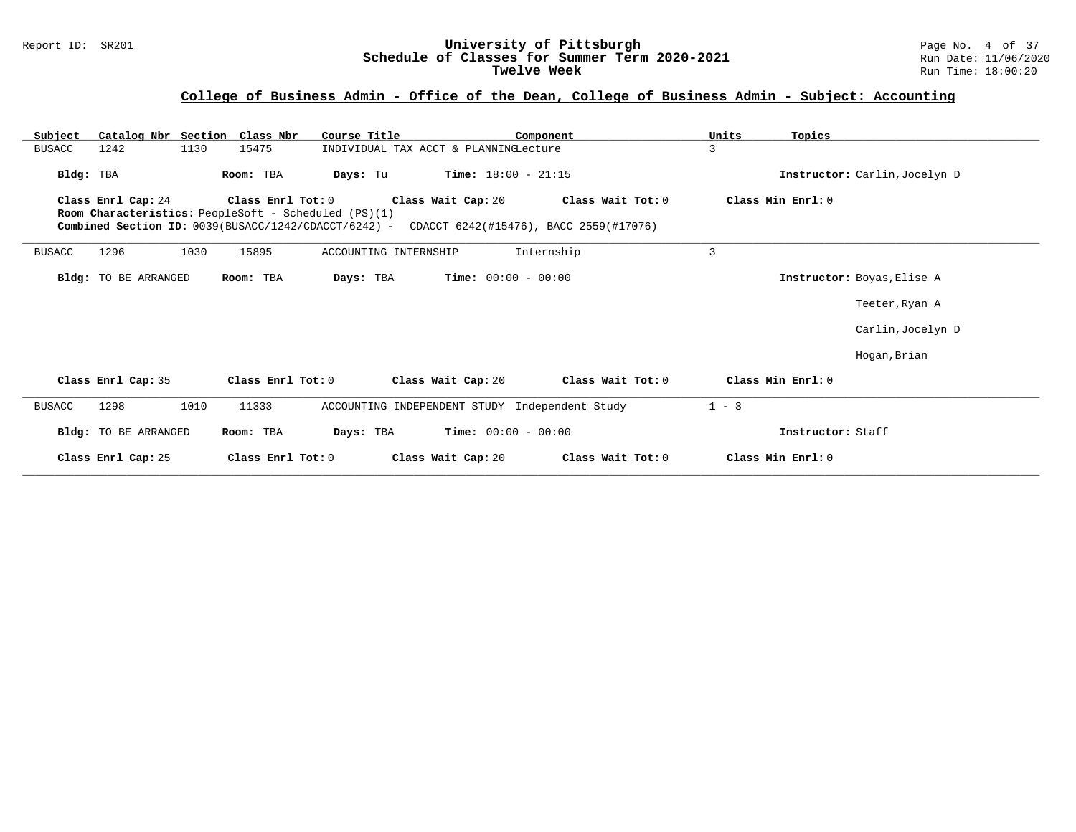## **College of Business Admin - Office of the Dean, College of Business Admin - Subject: Accounting**

| Catalog Nbr Section Class Nbr<br>Subject                                                                                           |                   | Course Title                                   |                              | Component                                                   | Units<br>Topics   |                               |
|------------------------------------------------------------------------------------------------------------------------------------|-------------------|------------------------------------------------|------------------------------|-------------------------------------------------------------|-------------------|-------------------------------|
| 1242<br><b>BUSACC</b><br>1130                                                                                                      | 15475             | INDIVIDUAL TAX ACCT & PLANNINGLecture          |                              |                                                             | 3                 |                               |
| Bldg: TBA                                                                                                                          | Room: TBA         | Days: Tu                                       | <b>Time:</b> $18:00 - 21:15$ |                                                             |                   | Instructor: Carlin, Jocelyn D |
| Class Enrl Cap: 24<br>Room Characteristics: PeopleSoft - Scheduled (PS)(1)<br>Combined Section ID: 0039(BUSACC/1242/CDACCT/6242) - | Class Enrl Tot: 0 |                                                | Class Wait Cap: 20           | Class Wait Tot: 0<br>CDACCT 6242(#15476), BACC 2559(#17076) | Class Min Enrl: 0 |                               |
| 1296<br>1030<br><b>BUSACC</b>                                                                                                      | 15895             | ACCOUNTING INTERNSHIP                          |                              | Internship                                                  | 3                 |                               |
| <b>Bldg:</b> TO BE ARRANGED                                                                                                        | Room: TBA         | Days: TBA                                      | <b>Time:</b> $00:00 - 00:00$ |                                                             |                   | Instructor: Boyas, Elise A    |
|                                                                                                                                    |                   |                                                |                              |                                                             |                   | Teeter, Ryan A                |
|                                                                                                                                    |                   |                                                |                              |                                                             |                   | Carlin, Jocelyn D             |
|                                                                                                                                    |                   |                                                |                              |                                                             |                   | Hogan, Brian                  |
| Class Enrl Cap: 35                                                                                                                 | Class Enrl Tot: 0 | Class Wait Cap: 20                             |                              | Class Wait Tot: 0                                           | Class Min Enrl: 0 |                               |
| 1010<br>1298<br><b>BUSACC</b>                                                                                                      | 11333             | ACCOUNTING INDEPENDENT STUDY Independent Study |                              |                                                             | $1 - 3$           |                               |
| Bldg: TO BE ARRANGED                                                                                                               | Room: TBA         | Days: TBA                                      | <b>Time:</b> $00:00 - 00:00$ |                                                             |                   | Instructor: Staff             |
| Class Enrl Cap: 25                                                                                                                 | Class Enrl Tot: 0 |                                                | Class Wait Cap: 20           | Class Wait Tot: 0                                           | Class Min Enrl: 0 |                               |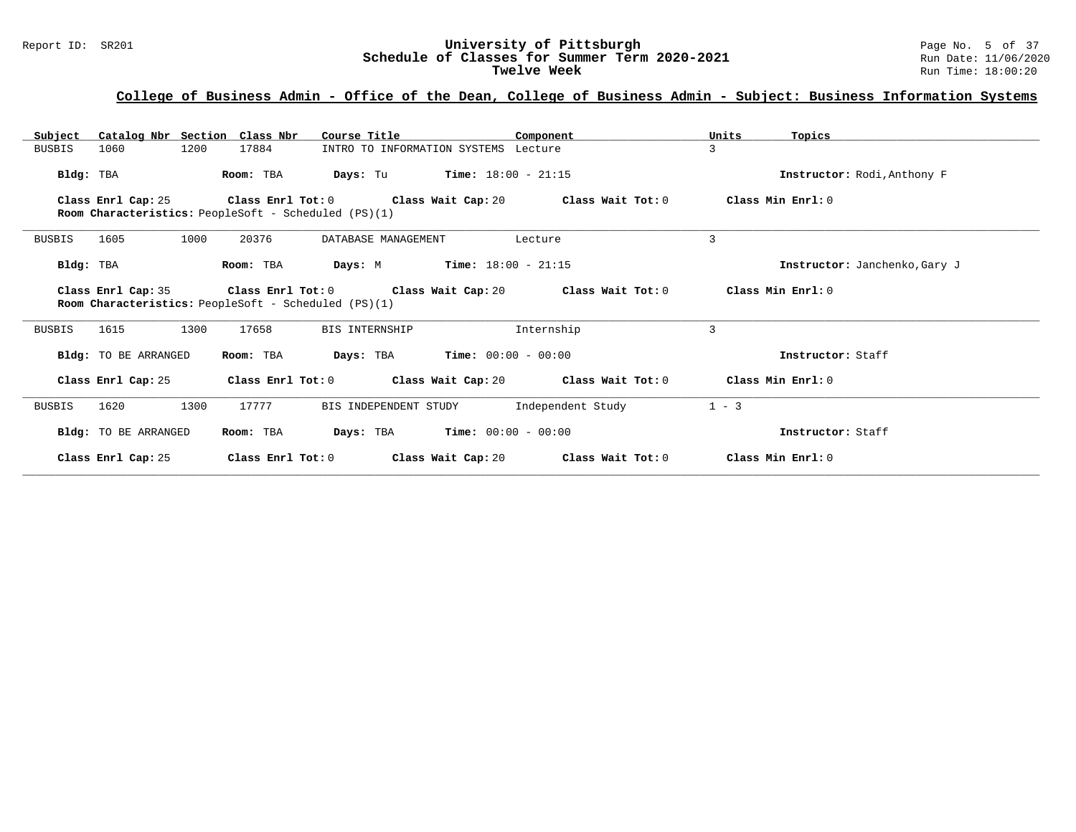# Report ID: SR201 **University of Pittsburgh University of Pittsburgh** Page No. 5 of 37<br>**Schedule of Classes for Summer Term 2020-2021** Run Date: 11/06/2020 Schedule of Classes for Summer Term 2020-2021<br>Twelve Week

## **College of Business Admin - Office of the Dean, College of Business Admin - Subject: Business Information Systems**

| Catalog Nbr Section Class Nbr<br>Subject | Course Title                                                              | Component                                                    | Units<br>Topics               |
|------------------------------------------|---------------------------------------------------------------------------|--------------------------------------------------------------|-------------------------------|
| 1200<br>BUSBIS<br>1060                   | 17884                                                                     | INTRO TO INFORMATION SYSTEMS Lecture                         | 3                             |
| Bldg: TBA                                | Days: Tu<br>Room: TBA                                                     | <b>Time:</b> $18:00 - 21:15$                                 | Instructor: Rodi, Anthony F   |
| Class Enrl Cap: 25                       | Room Characteristics: PeopleSoft - Scheduled (PS)(1)                      | Class Enrl Tot: $0$ Class Wait Cap: $20$ Class Wait Tot: $0$ | Class Min Enrl: 0             |
| 1605<br>1000<br>BUSBIS                   | 20376<br>DATABASE MANAGEMENT                                              | Lecture                                                      | 3                             |
| Bldg: TBA                                | Room: TBA<br>Days: M                                                      | <b>Time:</b> $18:00 - 21:15$                                 | Instructor: Janchenko, Gary J |
| Class Enrl Cap: 35                       | Class Enrl Tot: 0<br>Room Characteristics: PeopleSoft - Scheduled (PS)(1) | Class Wait Cap: 20 Class Wait Tot: 0                         | Class Min Enrl: 0             |
| 1300<br>1615<br>BUSBIS                   | 17658<br>BIS INTERNSHIP                                                   | Internship                                                   | 3                             |
| Bldg: TO BE ARRANGED                     | Room: TBA                                                                 | <b>Days:</b> TBA <b>Time:</b> $00:00 - 00:00$                | Instructor: Staff             |
| Class Enrl Cap: 25                       |                                                                           | Class Enrl Tot: $0$ Class Wait Cap: $20$ Class Wait Tot: $0$ | Class Min Enrl: 0             |
| 1300<br>1620<br>BUSBIS                   | 17777<br>BIS INDEPENDENT STUDY                                            | Independent Study                                            | $1 - 3$                       |
| Bldg: TO BE ARRANGED                     | Room: TBA                                                                 | <b>Days:</b> TBA <b>Time:</b> $00:00 - 00:00$                | Instructor: Staff             |
| Class Enrl Cap: 25                       | Class Enrl Tot: 0                                                         | Class Wait Cap: 20<br>Class Wait Tot: 0                      | Class Min Enrl: 0             |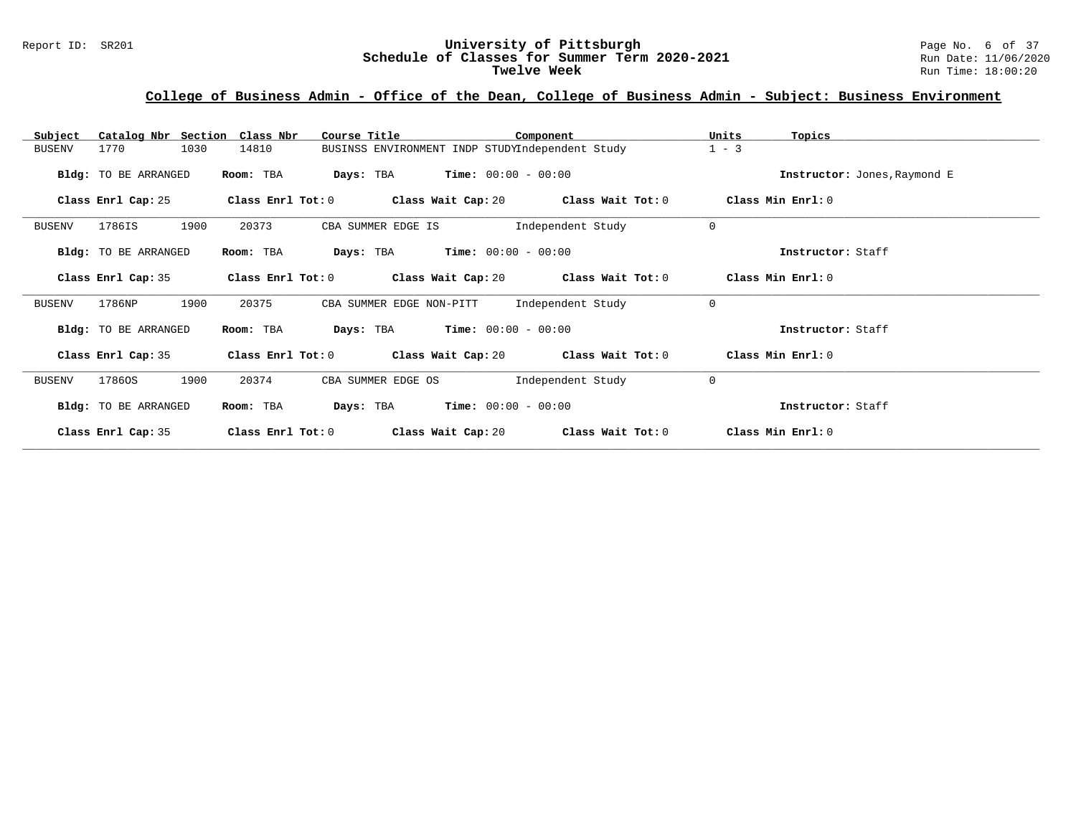# Report ID: SR201 **University of Pittsburgh University of Pittsburgh** Page No. 6 of 37<br>**Schedule of Classes for Summer Term 2020-2021** Run Date: 11/06/2020 Schedule of Classes for Summer Term 2020-2021<br>Twelve Week

## **College of Business Admin - Office of the Dean, College of Business Admin - Subject: Business Environment**

| Catalog Nbr Section Class Nbr<br>Subject | Course Title                      | Component                                       | Units<br>Topics              |
|------------------------------------------|-----------------------------------|-------------------------------------------------|------------------------------|
| 1030<br><b>BUSENV</b><br>1770            | 14810                             | BUSINSS ENVIRONMENT INDP STUDYIndependent Study | $1 - 3$                      |
| Bldg: TO BE ARRANGED                     | Room: TBA<br>Days: TBA            | $Time: 00:00 - 00:00$                           | Instructor: Jones, Raymond E |
| Class Enrl Cap: 25                       | Class Enrl Tot: 0                 | Class Wait Cap: 20 $\qquad$ Class Wait Tot: 0   | Class Min Enrl: 0            |
| 1900<br>1786IS<br><b>BUSENV</b>          | 20373<br>CBA SUMMER EDGE IS       | Independent Study                               | $\mathbf 0$                  |
| Bldg: TO BE ARRANGED                     | Room: TBA<br>Days: TBA            | $Time: 00:00 - 00:00$                           | Instructor: Staff            |
| Class Enrl Cap: 35                       | Class Enrl Tot: 0                 | Class Wait Cap: 20<br>Class Wait Tot: 0         | Class Min Enrl: 0            |
| 1900<br>1786NP<br><b>BUSENV</b>          | 20375<br>CBA SUMMER EDGE NON-PITT | Independent Study                               | $\mathbf 0$                  |
| Bldg: TO BE ARRANGED                     | Room: TBA<br>Days: TBA            | $Time: 00:00 - 00:00$                           | Instructor: Staff            |
| Class Enrl Cap: 35                       | Class Enrl Tot: $0$               | Class Wait Cap: 20<br>Class Wait Tot: 0         | Class Min Enrl: 0            |
| 1900<br><b>BUSENV</b><br>17860S          | 20374<br>CBA SUMMER EDGE OS       | Independent Study                               | $\mathbf 0$                  |
| Bldg: TO BE ARRANGED                     | Room: TBA<br>Days: TBA            | $Time: 00:00 - 00:00$                           | Instructor: Staff            |
| Class Enrl Cap: 35                       | Class Enrl Tot: 0                 | Class Wait Cap: 20<br>Class Wait Tot: 0         | Class Min Enrl: 0            |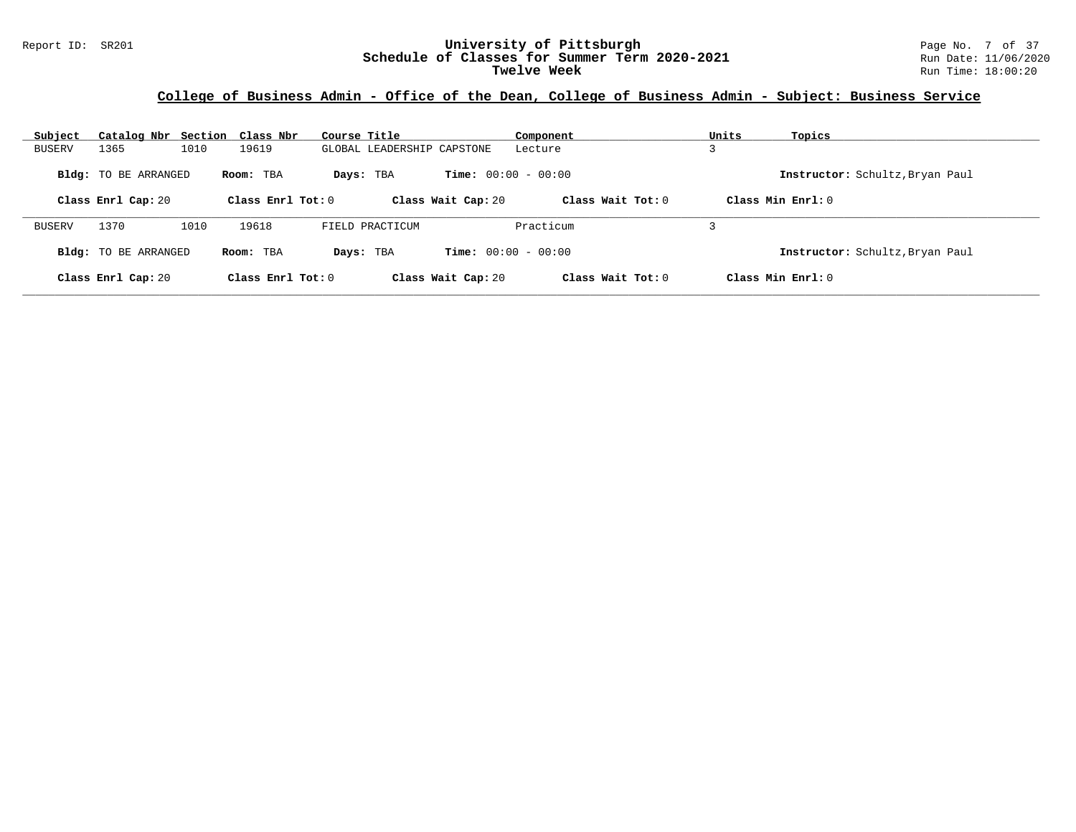#### **College of Business Admin - Office of the Dean, College of Business Admin - Subject: Business Service**

| Subject       | Catalog Nbr Section Class Nbr |      |                     | Course Title |                            |                              | Component           | Units | Topics                          |
|---------------|-------------------------------|------|---------------------|--------------|----------------------------|------------------------------|---------------------|-------|---------------------------------|
| <b>BUSERV</b> | 1365                          | 1010 | 19619               |              | GLOBAL LEADERSHIP CAPSTONE |                              | Lecture             |       |                                 |
|               | Bldg: TO BE ARRANGED          |      | Room: TBA           |              | Days: TBA                  | <b>Time:</b> $00:00 - 00:00$ |                     |       | Instructor: Schultz, Bryan Paul |
|               | Class Enrl Cap: 20            |      | Class Enrl Tot: $0$ |              |                            | Class Wait Cap: 20           | Class Wait Tot: $0$ |       | Class Min $Enrl: 0$             |
| <b>BUSERV</b> | 1370                          | 1010 | 19618               |              | FIELD PRACTICUM            |                              | Practicum           |       |                                 |
|               | Bldg: TO BE ARRANGED          |      | Room: TBA           | Days: TBA    |                            | <b>Time:</b> $00:00 - 00:00$ |                     |       | Instructor: Schultz, Bryan Paul |
|               | Class Enrl Cap: 20            |      | Class Enrl Tot: $0$ |              |                            | Class Wait Cap: 20           | Class Wait Tot: $0$ |       | Class Min $Enrl: 0$             |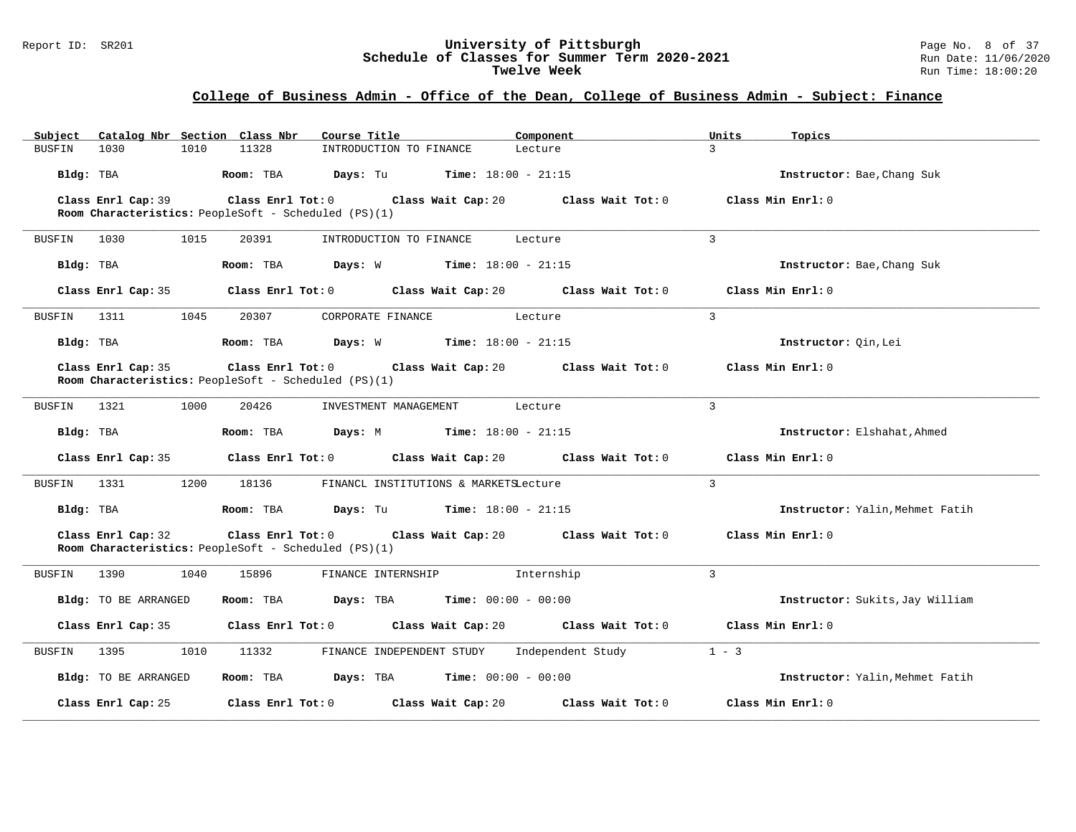#### Report ID: SR201 **University of Pittsburgh** Page No. 8 of 37 **Schedule of Classes for Summer Term 2020-2021** Run Date: 11/06/2020 **Twelve Week** Run Time: 18:00:20

## **College of Business Admin - Office of the Dean, College of Business Admin - Subject: Finance**

| Subject   |                      |      | Catalog Nbr Section Class Nbr | Course Title                                                                                | Component                                                                                     | Units          | Topics                          |
|-----------|----------------------|------|-------------------------------|---------------------------------------------------------------------------------------------|-----------------------------------------------------------------------------------------------|----------------|---------------------------------|
| BUSFIN    | 1030                 | 1010 | 11328                         | INTRODUCTION TO FINANCE                                                                     | Lecture                                                                                       | $\mathcal{L}$  |                                 |
|           | Bldg: TBA            |      |                               | <b>Room:</b> TBA <b>Days:</b> Tu <b>Time:</b> $18:00 - 21:15$                               |                                                                                               |                | Instructor: Bae, Chang Suk      |
|           | Class Enrl Cap: 39   |      |                               | Class Enrl Tot: 0 Class Wait Cap: 20                                                        | Class Wait Tot: 0                                                                             |                | Class Min Enrl: 0               |
|           |                      |      |                               | Room Characteristics: PeopleSoft - Scheduled (PS)(1)                                        |                                                                                               |                |                                 |
| BUSFIN    | 1030                 | 1015 | 20391                         | INTRODUCTION TO FINANCE                                                                     | Lecture                                                                                       | $\overline{3}$ |                                 |
| Bldg: TBA |                      |      |                               | <b>Room:</b> TBA <b>Days:</b> W <b>Time:</b> 18:00 - 21:15                                  |                                                                                               |                | Instructor: Bae, Chang Suk      |
|           |                      |      |                               |                                                                                             | Class Enrl Cap: 35 $\,$ Class Enrl Tot: 0 $\,$ Class Wait Cap: 20 $\,$ Class Wait Tot: 0 $\,$ |                | Class Min Enrl: 0               |
| BUSFIN    | 1311                 | 1045 | 20307                         | CORPORATE FINANCE Lecture                                                                   |                                                                                               | $\mathbf{3}$   |                                 |
| Bldg: TBA |                      |      |                               | <b>Room:</b> TBA <b>Days:</b> W <b>Time:</b> 18:00 - 21:15                                  |                                                                                               |                | Instructor: Qin, Lei            |
|           | Class Enrl Cap: 35   |      |                               |                                                                                             | Class Enrl Tot: $0$ Class Wait Cap: $20$ Class Wait Tot: $0$                                  |                | Class Min Enrl: 0               |
|           |                      |      |                               | Room Characteristics: PeopleSoft - Scheduled (PS)(1)                                        |                                                                                               |                |                                 |
| BUSFIN    | 1321                 | 1000 | 20426                         | INVESTMENT MANAGEMENT                                                                       | Lecture                                                                                       | 3              |                                 |
|           | Bldg: TBA            |      | Room: TBA                     | <b>Days:</b> M <b>Time:</b> $18:00 - 21:15$                                                 |                                                                                               |                | Instructor: Elshahat, Ahmed     |
|           | Class Enrl Cap: 35   |      |                               |                                                                                             | Class Enrl Tot: $0$ Class Wait Cap: $20$ Class Wait Tot: $0$                                  |                | Class Min Enrl: 0               |
| BUSFIN    | 1331                 | 1200 | 18136                         | FINANCL INSTITUTIONS & MARKETSLecture                                                       |                                                                                               | $\mathbf{3}$   |                                 |
|           | Bldg: TBA            |      |                               | <b>Room:</b> TBA $\qquad \qquad$ <b>Days:</b> Tu $\qquad \qquad$ <b>Time:</b> 18:00 - 21:15 |                                                                                               |                | Instructor: Yalin, Mehmet Fatih |
|           | Class Enrl Cap: 32   |      | Class Enrl Tot: 0             | Room Characteristics: PeopleSoft - Scheduled (PS)(1)                                        | Class Wait Cap: 20 Class Wait Tot: 0                                                          |                | Class Min Enrl: 0               |
| BUSFIN    | 1390                 | 1040 | 15896                         | FINANCE INTERNSHIP                                                                          | Internship                                                                                    | 3              |                                 |
|           | Bldg: TO BE ARRANGED |      |                               | Room: TBA $Days: TBA$ Time: $00:00 - 00:00$                                                 |                                                                                               |                | Instructor: Sukits, Jay William |
|           |                      |      |                               |                                                                                             | Class Enrl Cap: 35 $\,$ Class Enrl Tot: 0 $\,$ Class Wait Cap: 20 $\,$ Class Wait Tot: 0 $\,$ |                | Class Min Enrl: 0               |
| BUSFIN    | 1395                 | 1010 | 11332                         | FINANCE INDEPENDENT STUDY Independent Study                                                 |                                                                                               | $1 - 3$        |                                 |
|           | Bldg: TO BE ARRANGED |      |                               | Room: TBA $Days:$ TBA $Time: 00:00 - 00:00$                                                 |                                                                                               |                | Instructor: Yalin, Mehmet Fatih |
|           | Class Enrl Cap: 25   |      |                               | Class Enrl Tot: 0 Class Wait Cap: 20                                                        | Class Wait Tot: 0                                                                             |                | Class Min Enrl: 0               |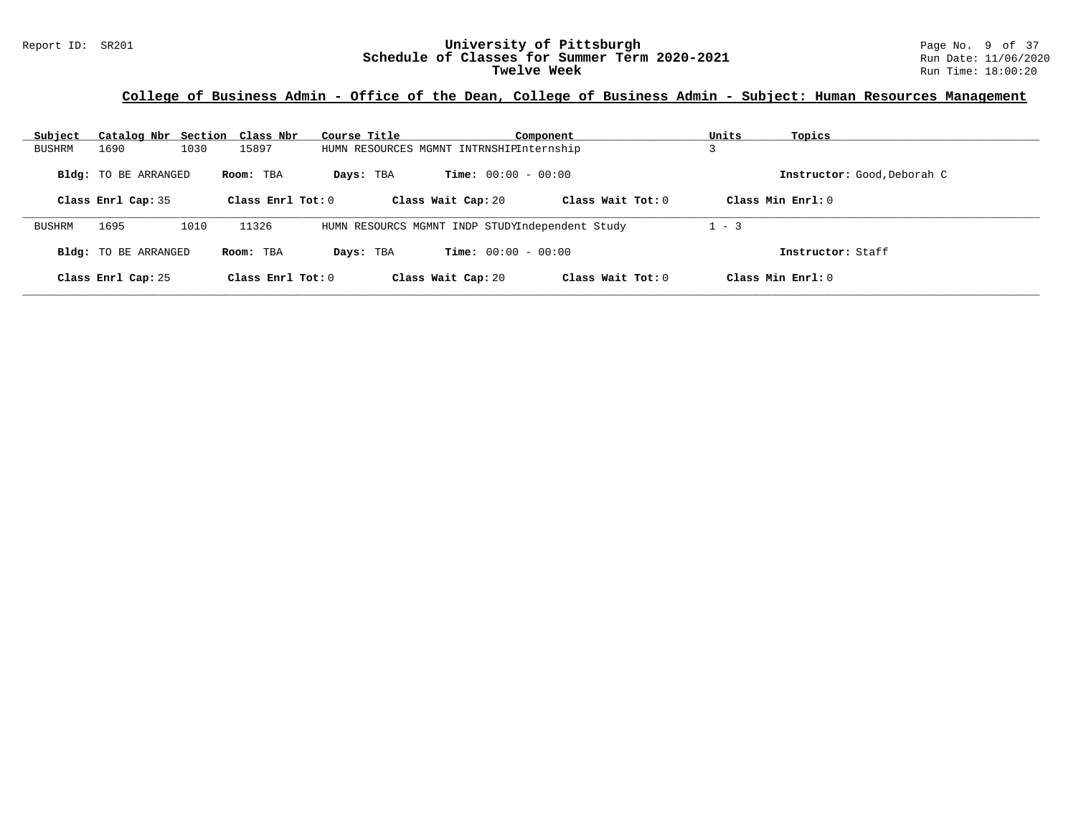## **College of Business Admin - Office of the Dean, College of Business Admin - Subject: Human Resources Management**

| Subject       | Catalog Nbr Section Class Nbr                     |      |                                  | Course Title                                    |                                                    | Component           | Units   | Topics                                             |
|---------------|---------------------------------------------------|------|----------------------------------|-------------------------------------------------|----------------------------------------------------|---------------------|---------|----------------------------------------------------|
| <b>BUSHRM</b> | 1690                                              | 1030 | 15897                            | HUMN RESOURCES MGMNT INTRNSHIPInternship        |                                                    |                     |         |                                                    |
|               | <b>Bldg:</b> TO BE ARRANGED<br>Class Enrl Cap: 35 |      | Room: TBA<br>Class Enrl Tot: $0$ | Days: TBA                                       | <b>Time:</b> $00:00 - 00:00$<br>Class Wait Cap: 20 | Class Wait Tot: $0$ |         | Instructor: Good, Deborah C<br>Class Min $Enrl: 0$ |
| <b>BUSHRM</b> | 1695                                              | 1010 | 11326                            | HUMN RESOURCS MGMNT INDP STUDYIndependent Study |                                                    |                     | $1 - 3$ |                                                    |
|               | <b>Bldg:</b> TO BE ARRANGED                       |      | Room: TBA                        | Days: TBA                                       | <b>Time:</b> $00:00 - 00:00$                       |                     |         | Instructor: Staff                                  |
|               | Class Enrl Cap: 25                                |      | Class Enrl Tot: $0$              |                                                 | Class Wait Cap: 20                                 | Class Wait Tot: 0   |         | Class Min Enrl: 0                                  |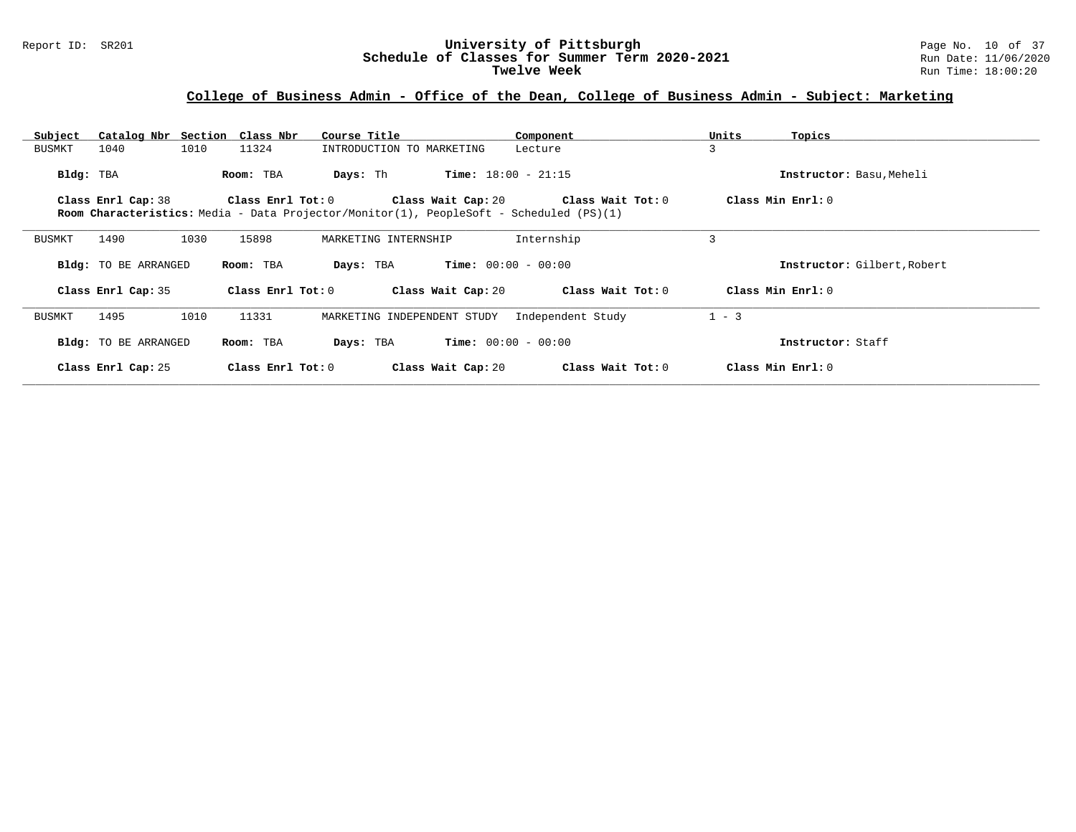#### Report ID: SR201 **University of Pittsburgh** Page No. 10 of 37 **Schedule of Classes for Summer Term 2020-2021** Run Date: 11/06/2020 **Twelve Week** Run Time: 18:00:20

## **College of Business Admin - Office of the Dean, College of Business Admin - Subject: Marketing**

| Catalog Nbr Section Class Nbr<br>Subject | Course Title                                                                                   | Component                                     | Units<br>Topics             |
|------------------------------------------|------------------------------------------------------------------------------------------------|-----------------------------------------------|-----------------------------|
| 1010<br>1040<br>BUSMKT                   | 11324<br>INTRODUCTION TO MARKETING                                                             | Lecture                                       | 3                           |
| Bldg: TBA                                | Days: Th<br>Room: TBA                                                                          | <b>Time:</b> $18:00 - 21:15$                  | Instructor: Basu, Meheli    |
| Class Enrl Cap: 38                       | Class Enrl Tot: 0                                                                              | Class Wait Cap: 20 $\qquad$ Class Wait Tot: 0 | Class Min Enrl: 0           |
|                                          | <b>Room Characteristics:</b> Media - Data Projector/Monitor(1), PeopleSoft - Scheduled (PS)(1) |                                               |                             |
|                                          |                                                                                                |                                               |                             |
| 1490<br>1030<br><b>BUSMKT</b>            | 15898<br>MARKETING INTERNSHIP                                                                  | Internship                                    | 3                           |
| <b>Bldg:</b> TO BE ARRANGED              | Room: TBA<br>Days: TBA                                                                         | <b>Time:</b> $00:00 - 00:00$                  | Instructor: Gilbert, Robert |
| Class Enrl Cap: 35                       | Class Enrl Tot: 0<br>Class Wait Cap: 20                                                        | Class Wait Tot: 0                             | Class Min Enrl: 0           |
| 1010<br>1495<br>BUSMKT                   | 11331<br>MARKETING INDEPENDENT STUDY                                                           | Independent Study                             | $1 - 3$                     |
|                                          |                                                                                                |                                               |                             |
| <b>Bldg:</b> TO BE ARRANGED              | Room: TBA<br>Days: TBA                                                                         | <b>Time:</b> $00:00 - 00:00$                  | Instructor: Staff           |
| Class Enrl Cap: 25                       | Class Wait Cap: 20<br>$Class$ $Enr1$ $Tot: 0$                                                  | Class Wait Tot: 0                             | Class Min Enrl: 0           |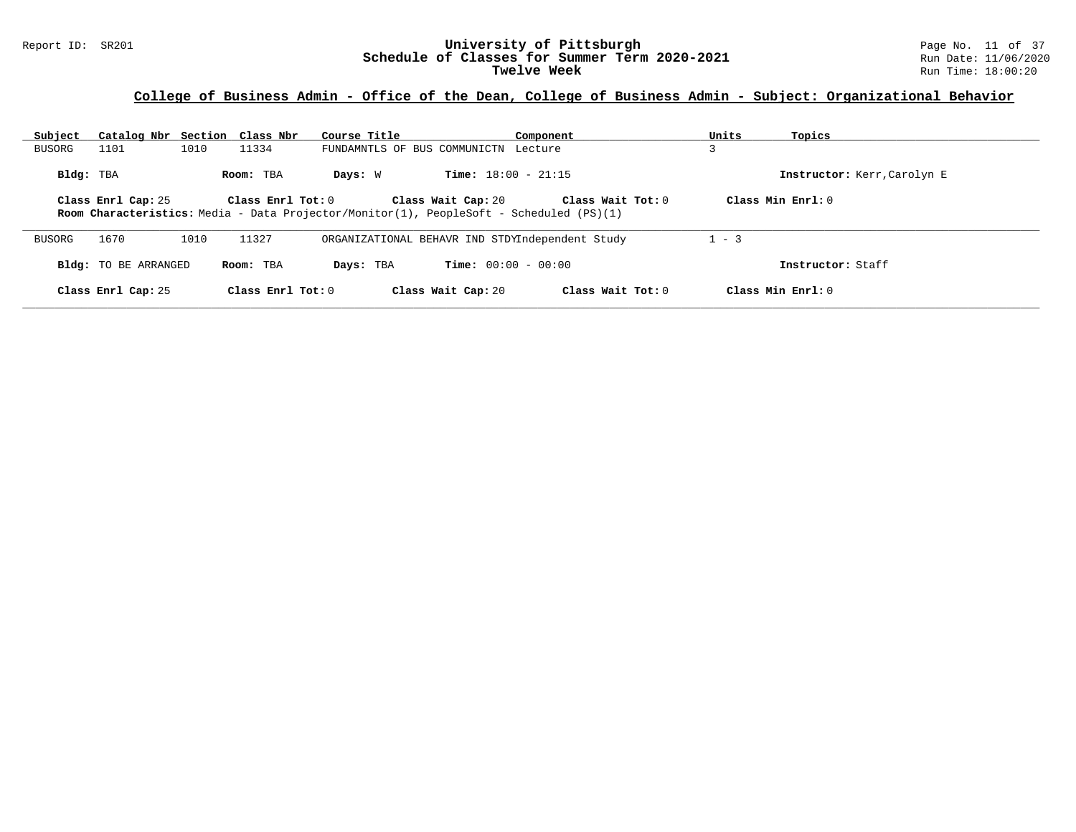#### Report ID: SR201 **University of Pittsburgh** Page No. 11 of 37 **Schedule of Classes for Summer Term 2020-2021** Run Date: 11/06/2020 **Twelve Week** Run Time: 18:00:20

## **College of Business Admin - Office of the Dean, College of Business Admin - Subject: Organizational Behavior**

| Subject   | Catalog Nbr Section Class Nbr |      |                       | Course Title                                                                                   |                                                 | Component         | Units   | Topics                      |
|-----------|-------------------------------|------|-----------------------|------------------------------------------------------------------------------------------------|-------------------------------------------------|-------------------|---------|-----------------------------|
| BUSORG    | 1101                          | 1010 | 11334                 |                                                                                                | FUNDAMNTLS OF BUS COMMUNICTN Lecture            |                   |         |                             |
| Bldg: TBA |                               |      | Room: TBA             | Days: W                                                                                        | <b>Time:</b> $18:00 - 21:15$                    |                   |         | Instructor: Kerr, Carolyn E |
|           | Class Enrl Cap: 25            |      | Class $Enrl$ Tot: $0$ | <b>Room Characteristics:</b> Media - Data Projector/Monitor(1), PeopleSoft - Scheduled (PS)(1) | Class Wait Cap: 20                              | Class Wait Tot: 0 |         | Class Min Enrl: 0           |
| BUSORG    | 1670                          | 1010 | 11327                 |                                                                                                | ORGANIZATIONAL BEHAVR IND STDYIndependent Study |                   | $1 - 3$ |                             |
|           | <b>Bldg:</b> TO BE ARRANGED   |      | Room: TBA             | Days: TBA                                                                                      | <b>Time:</b> $00:00 - 00:00$                    |                   |         | Instructor: Staff           |
|           | Class Enrl Cap: 25            |      | Class Enrl Tot: $0$   |                                                                                                | Class Wait Cap: 20                              | Class Wait Tot: 0 |         | Class Min Enrl: 0           |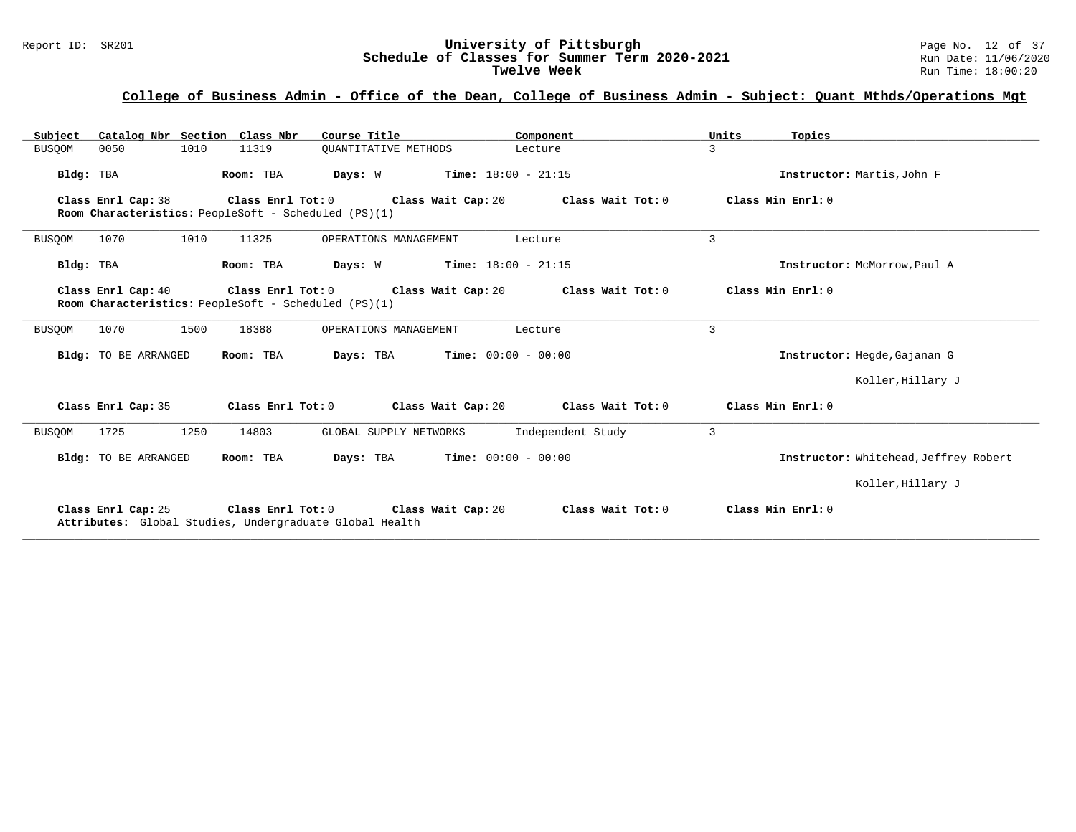# Report ID: SR201 **University of Pittsburgh University of Pittsburgh** Page No. 12 of 37<br>**Schedule of Classes for Summer Term 2020-2021** Run Date: 11/06/2020 Schedule of Classes for Summer Term 2020-2021<br>Twelve Week

## **College of Business Admin - Office of the Dean, College of Business Admin - Subject: Quant Mthds/Operations Mgt**

| Catalog Nbr Section Class Nbr<br>Subject                                   | Course Title                                                                                         | Component                                     | Units<br>Topics                       |
|----------------------------------------------------------------------------|------------------------------------------------------------------------------------------------------|-----------------------------------------------|---------------------------------------|
| 1010<br><b>BUSQOM</b><br>0050                                              | 11319<br>QUANTITATIVE METHODS                                                                        | Lecture                                       | 3                                     |
| Bldg: TBA                                                                  | Room: TBA<br>$Time: 18:00 - 21:15$<br>Days: W                                                        |                                               | Instructor: Martis, John F            |
| Class Enrl Cap: 38<br>Room Characteristics: PeopleSoft - Scheduled (PS)(1) | Class Enrl Tot: 0<br>Class Wait Cap: 20                                                              | Class Wait Tot: 0                             | Class Min Enrl: 0                     |
| 1010<br><b>BUSQOM</b><br>1070                                              | 11325<br>OPERATIONS MANAGEMENT                                                                       | Lecture                                       | 3                                     |
| Bldg: TBA                                                                  | <b>Time:</b> $18:00 - 21:15$<br>Room: TBA<br>Days: W                                                 |                                               | Instructor: McMorrow, Paul A          |
| Class Enrl Cap: 40<br>Room Characteristics: PeopleSoft - Scheduled (PS)(1) | Class Enrl Tot: 0<br>Class Wait Cap: 20                                                              | Class Wait Tot: 0                             | Class Min Enrl: 0                     |
| 1070<br>1500<br><b>BUSQOM</b>                                              | 18388<br>OPERATIONS MANAGEMENT                                                                       | Lecture                                       | 3                                     |
| Bldg: TO BE ARRANGED                                                       | $Time: 00:00 - 00:00$<br>Room: TBA<br>Days: TBA                                                      |                                               | Instructor: Hegde, Gajanan G          |
|                                                                            |                                                                                                      |                                               | Koller, Hillary J                     |
| Class Enrl Cap: 35                                                         | Class Enrl Tot: 0                                                                                    | Class Wait Cap: 20 $\qquad$ Class Wait Tot: 0 | Class Min Enrl: 0                     |
| 1250<br><b>BUSQOM</b><br>1725                                              | 14803<br>GLOBAL SUPPLY NETWORKS                                                                      | Independent Study                             | 3                                     |
| Bldg: TO BE ARRANGED                                                       | Room: TBA<br>Days: TBA                                                                               | <b>Time:</b> $00:00 - 00:00$                  | Instructor: Whitehead, Jeffrey Robert |
|                                                                            |                                                                                                      |                                               | Koller, Hillary J                     |
| Class Enrl Cap: 25                                                         | Class Enrl Tot: $0$<br>Class Wait Cap: 20<br>Attributes: Global Studies, Undergraduate Global Health | Class Wait Tot: 0                             | Class Min Enrl: 0                     |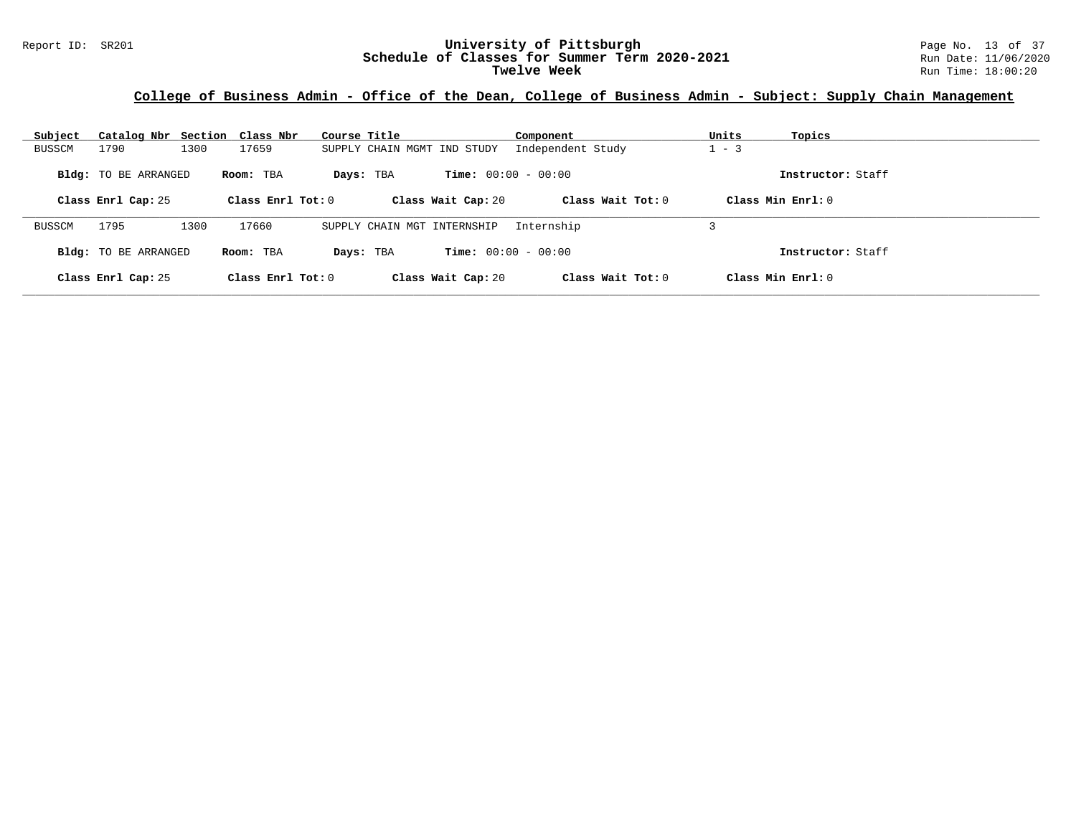# Report ID: SR201 **University of Pittsburgh University of Pittsburgh** Page No. 13 of 37<br>**Schedule of Classes for Summer Term 2020-2021** Run Date: 11/06/2020 Schedule of Classes for Summer Term 2020-2021<br>Twelve Week

## **College of Business Admin - Office of the Dean, College of Business Admin - Subject: Supply Chain Management**

| Subject       |                             | Catalog Nbr Section Class Nbr | Course Title                | Component                    | Units<br>Topics     |  |
|---------------|-----------------------------|-------------------------------|-----------------------------|------------------------------|---------------------|--|
| <b>BUSSCM</b> | 1790                        | 17659<br>1300                 | SUPPLY CHAIN MGMT IND STUDY | Independent Study            | $-3$                |  |
|               | <b>Bldg:</b> TO BE ARRANGED | Room: TBA                     | Days: TBA                   | <b>Time:</b> $00:00 - 00:00$ | Instructor: Staff   |  |
|               | Class Enrl Cap: 25          | Class Enrl Tot: $0$           | Class Wait Cap: 20          | Class Wait Tot: $0$          | Class Min Enrl: 0   |  |
| <b>BUSSCM</b> | 1795                        | 1300<br>17660                 | SUPPLY CHAIN MGT INTERNSHIP | Internship                   |                     |  |
|               | <b>Bldg:</b> TO BE ARRANGED | Room: TBA                     | Days: TBA                   | <b>Time:</b> $00:00 - 00:00$ | Instructor: Staff   |  |
|               | Class Enrl Cap: 25          | Class Enrl Tot: $0$           | Class Wait Cap: 20          | Class Wait Tot: 0            | Class Min $Enrl: 0$ |  |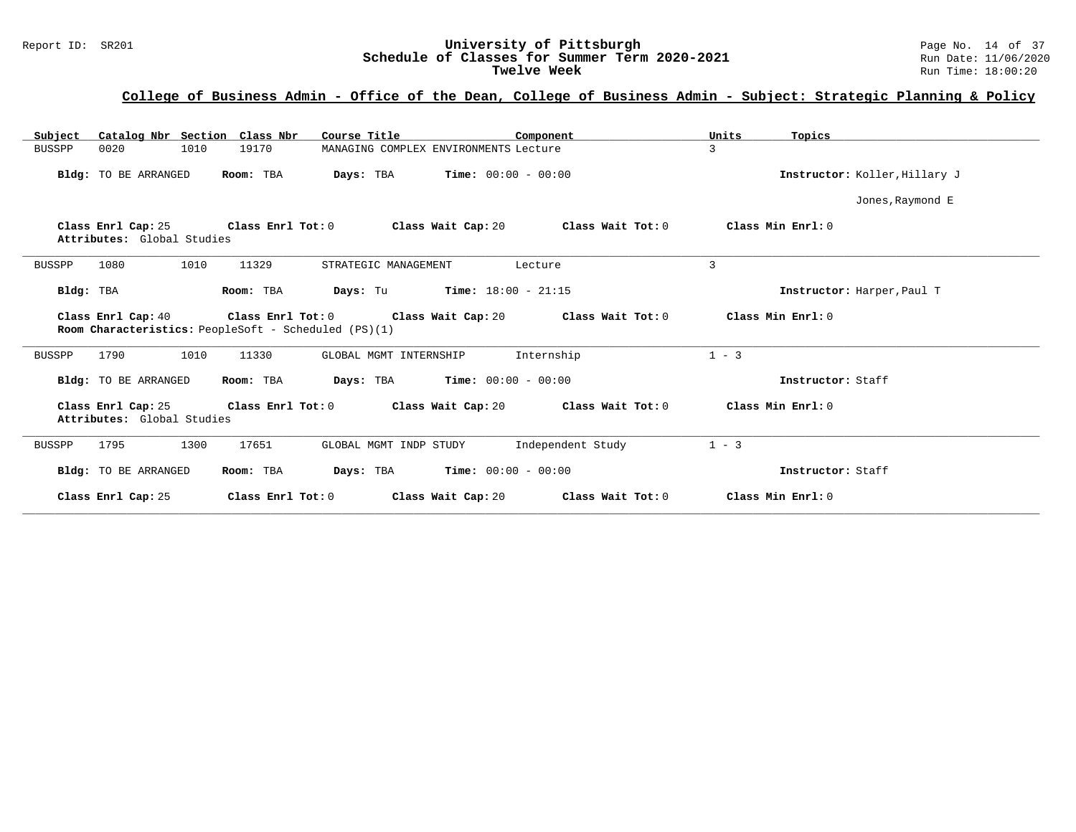# Report ID: SR201 **University of Pittsburgh University of Pittsburgh** Page No. 14 of 37<br>**Schedule of Classes for Summer Term 2020-2021** Run Date: 11/06/2020 Schedule of Classes for Summer Term 2020-2021<br>Twelve Week

| Catalog Nbr Section Class Nbr<br>Subject                                                                                                                            | Course Title                                                             | Component         | Units<br>Topics               |
|---------------------------------------------------------------------------------------------------------------------------------------------------------------------|--------------------------------------------------------------------------|-------------------|-------------------------------|
| <b>BUSSPP</b><br>0020<br>1010<br>19170                                                                                                                              | MANAGING COMPLEX ENVIRONMENTS Lecture                                    |                   | 3                             |
| Bldg: TO BE ARRANGED<br>Room: TBA                                                                                                                                   | <b>Days:</b> TBA <b>Time:</b> $00:00 - 00:00$                            |                   | Instructor: Koller, Hillary J |
|                                                                                                                                                                     |                                                                          |                   | Jones, Raymond E              |
| Class Enrl Tot: 0<br>Class Enrl Cap: 25<br>Attributes: Global Studies                                                                                               | Class Wait Cap: 20                                                       | Class Wait Tot: 0 | Class Min Enrl: 0             |
| 1080<br>1010<br>11329<br><b>BUSSPP</b>                                                                                                                              | STRATEGIC MANAGEMENT                                                     | Lecture           | 3                             |
| Room: TBA<br>Bldg: TBA                                                                                                                                              | <b>Days:</b> Tu <b>Time:</b> $18:00 - 21:15$                             |                   | Instructor: Harper, Paul T    |
| Class Enrl Cap: 40 $\qquad$ Class Enrl Tot: 0 $\qquad$ Class Wait Cap: 20 $\qquad$ Class Wait Tot: 0<br><b>Room Characteristics:</b> PeopleSoft - Scheduled (PS)(1) |                                                                          |                   | Class Min Enrl: 0             |
| 1010<br>1790<br>11330<br><b>BUSSPP</b>                                                                                                                              | GLOBAL MGMT INTERNSHIP                                                   | Internship        | $1 - 3$                       |
| Room: TBA<br>Bldg: TO BE ARRANGED                                                                                                                                   | <b>Days:</b> TBA <b>Time:</b> $00:00 - 00:00$                            |                   | Instructor: Staff             |
| Class Enrl Cap: 25<br>Attributes: Global Studies                                                                                                                    | Class Enrl Tot: 0 $\qquad$ Class Wait Cap: 20 $\qquad$ Class Wait Tot: 0 |                   | Class Min Enrl: 0             |
| 1795<br>1300<br>17651<br>BUSSPP                                                                                                                                     | GLOBAL MGMT INDP STUDY                                                   | Independent Study | $1 - 3$                       |
| Room: TBA<br>Bldg: TO BE ARRANGED                                                                                                                                   | <b>Days:</b> TBA <b>Time:</b> $00:00 - 00:00$                            |                   | Instructor: Staff             |
| Class Enrl Cap: 25<br>Class Enrl Tot: 0                                                                                                                             | Class Wait Cap: 20                                                       | Class Wait Tot: 0 | Class Min Enrl: 0             |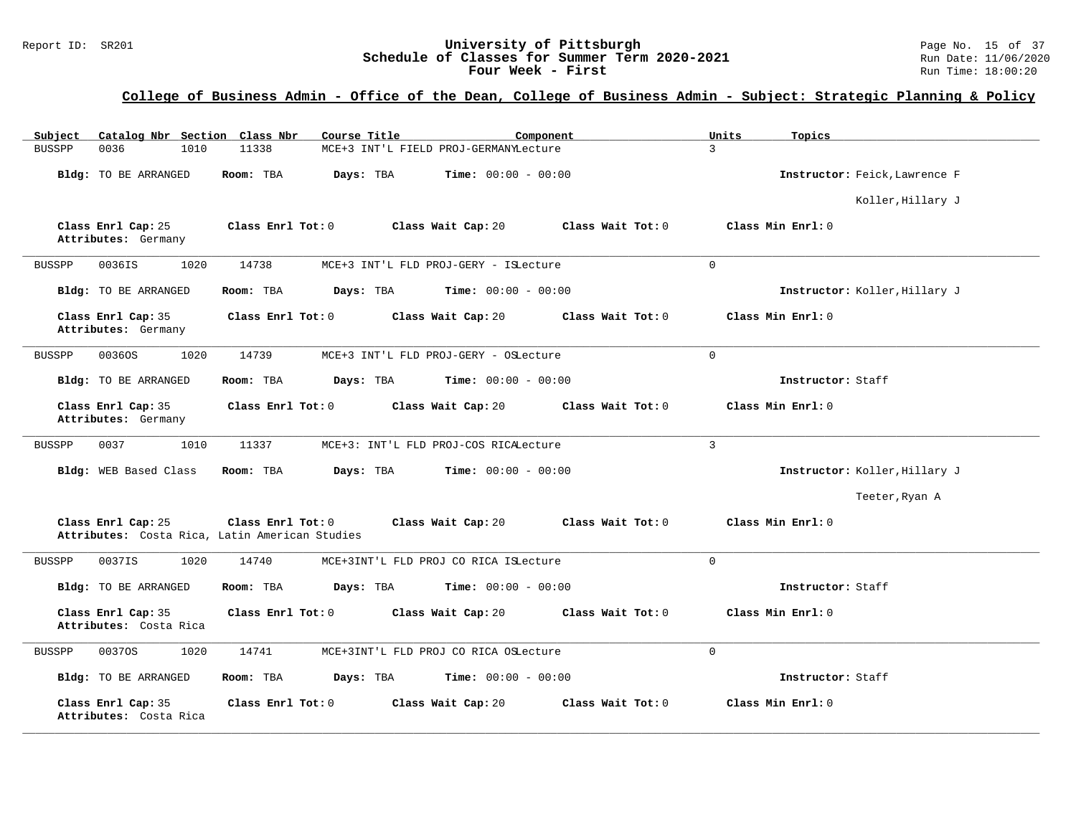#### Report ID: SR201 **University of Pittsburgh University of Pittsburgh** Page No. 15 of 37<br>**Schedule of Classes for Summer Term 2020-2021** Run Date: 11/06/2020 **Schedule of Classes for Summer Term 2020-2021** Run Date: 11/06/2020<br>**Four Week - First** Run Time: 18:00:20 Four Week - First

| Catalog Nbr Section Class Nbr<br>Subject                             | Course Title<br>Component                                    | Units<br>Topics               |
|----------------------------------------------------------------------|--------------------------------------------------------------|-------------------------------|
| <b>BUSSPP</b><br>0036<br>1010                                        | 11338<br>MCE+3 INT'L FIELD PROJ-GERMANYLecture               | $\mathcal{L}$                 |
| Bldg: TO BE ARRANGED                                                 | Room: TBA<br>Days: TBA<br><b>Time:</b> $00:00 - 00:00$       | Instructor: Feick, Lawrence F |
|                                                                      |                                                              | Koller, Hillary J             |
| Class Enrl Cap: 25<br>Attributes: Germany                            | Class Enrl Tot: 0<br>Class Wait Cap: 20<br>Class Wait Tot: 0 | Class Min Enrl: 0             |
| 1020<br>0036IS<br><b>BUSSPP</b>                                      | 14738<br>MCE+3 INT'L FLD PROJ-GERY - ISLecture               | $\Omega$                      |
| Bldg: TO BE ARRANGED                                                 | Room: TBA<br>Days: TBA<br><b>Time:</b> $00:00 - 00:00$       | Instructor: Koller, Hillary J |
| Class Enrl Cap: 35<br>Attributes: Germany                            | Class Enrl Tot: 0<br>Class Wait Cap: 20<br>Class Wait Tot: 0 | Class Min Enrl: 0             |
| 1020<br><b>BUSSPP</b><br>00360S                                      | 14739<br>MCE+3 INT'L FLD PROJ-GERY - OSLecture               | $\mathbf 0$                   |
| Bldg: TO BE ARRANGED                                                 | <b>Time:</b> $00:00 - 00:00$<br>Room: TBA<br>Days: TBA       | Instructor: Staff             |
| Class Enrl Cap: 35<br>Attributes: Germany                            | Class Wait Cap: 20<br>Class Enrl Tot: 0<br>Class Wait Tot: 0 | Class Min Enrl: 0             |
| 0037<br>1010<br><b>BUSSPP</b>                                        | 11337<br>MCE+3: INT'L FLD PROJ-COS RICALecture               | 3                             |
| Bldg: WEB Based Class                                                | Room: TBA<br>Days: TBA<br><b>Time:</b> $00:00 - 00:00$       | Instructor: Koller, Hillary J |
|                                                                      |                                                              | Teeter, Ryan A                |
| Class Enrl Cap: 25<br>Attributes: Costa Rica, Latin American Studies | Class Enrl Tot: 0<br>Class Wait Cap: 20<br>Class Wait Tot: 0 | Class Min Enrl: 0             |
| 0037IS<br>1020<br><b>BUSSPP</b>                                      | 14740<br>MCE+3INT'L FLD PROJ CO RICA ISLecture               | $\Omega$                      |
| Bldg: TO BE ARRANGED                                                 | Room: TBA<br>Days: TBA<br><b>Time:</b> $00:00 - 00:00$       | Instructor: Staff             |
| Class Enrl Cap: 35<br>Attributes: Costa Rica                         | Class Enrl Tot: 0<br>Class Wait Cap: 20<br>Class Wait Tot: 0 | Class Min Enrl: 0             |
| 1020<br><b>BUSSPP</b><br>00370S                                      | 14741<br>MCE+3INT'L FLD PROJ CO RICA OSLecture               | $\mathbf 0$                   |
| Bldg: TO BE ARRANGED                                                 | <b>Time:</b> $00:00 - 00:00$<br>Room: TBA<br>Days: TBA       | Instructor: Staff             |
| Class Enrl Cap: 35<br>Attributes: Costa Rica                         | Class Enrl Tot: 0<br>Class Wait Cap: 20<br>Class Wait Tot: 0 | Class Min Enrl: 0             |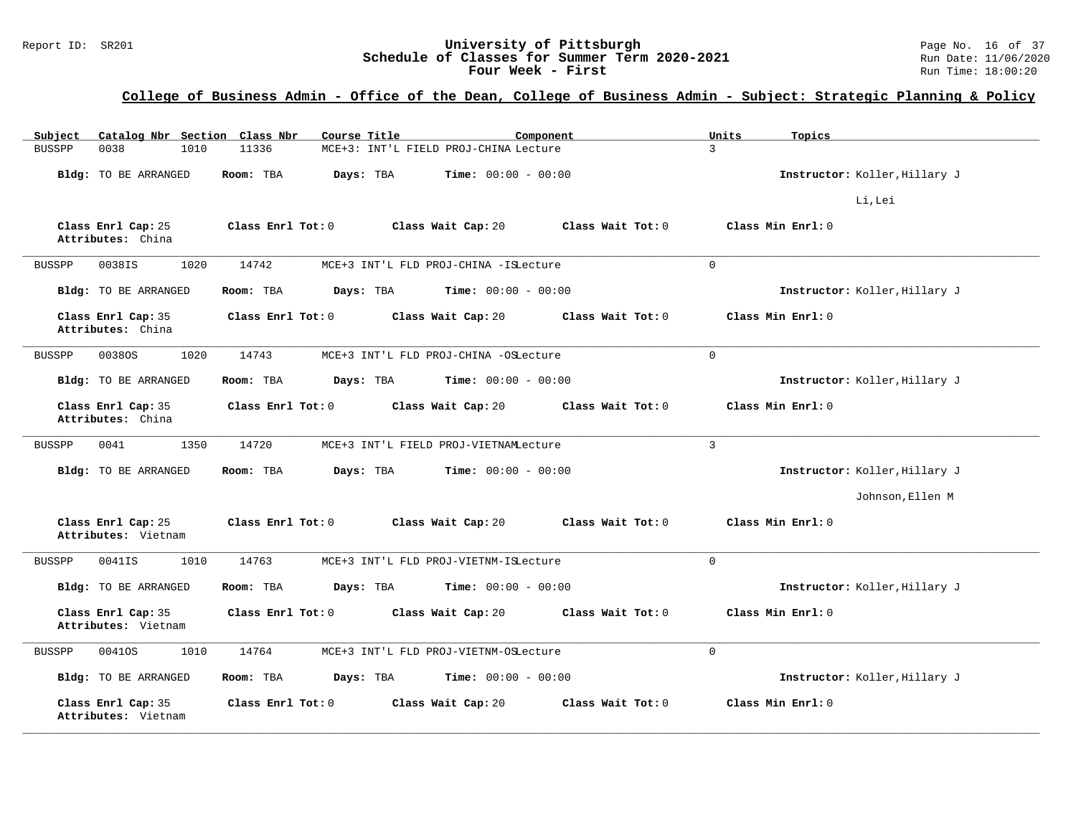#### Report ID: SR201 **1988 Mage 10: SR201 University of Pittsburgh** Page No. 16 of 37<br>**Schedule of Classes for Summer Term 2020-2021** Run Date: 11/06/2020 **Schedule of Classes for Summer Term 2020-2021** Run Date: 11/06/2020<br>**Four Week - First** Run Time: 18:00:20 Four Week - First

| Catalog Nbr Section Class Nbr<br>Subject  | Course Title                                   | Component                    | Units<br>Topics               |
|-------------------------------------------|------------------------------------------------|------------------------------|-------------------------------|
| 0038<br>1010<br><b>BUSSPP</b>             | 11336<br>MCE+3: INT'L FIELD PROJ-CHINA Lecture |                              | 3                             |
| Bldg: TO BE ARRANGED                      | Room: TBA<br>Days: TBA                         | <b>Time:</b> $00:00 - 00:00$ | Instructor: Koller, Hillary J |
|                                           |                                                |                              | Li, Lei                       |
| Class Enrl Cap: 25<br>Attributes: China   | Class Enrl Tot: 0<br>Class Wait Cap: 20        | Class Wait Tot: 0            | Class Min Enrl: 0             |
| 1020<br>0038IS<br><b>BUSSPP</b>           | 14742<br>MCE+3 INT'L FLD PROJ-CHINA -ISLecture |                              | $\Omega$                      |
| <b>Bldg:</b> TO BE ARRANGED               | Room: TBA<br>Days: TBA                         | <b>Time:</b> $00:00 - 00:00$ | Instructor: Koller, Hillary J |
| Class Enrl Cap: 35<br>Attributes: China   | Class Enrl Tot: 0<br>Class Wait Cap: 20        | Class Wait Tot: 0            | Class Min Enrl: 0             |
| 1020<br>BUSSPP<br>00380S                  | 14743<br>MCE+3 INT'L FLD PROJ-CHINA -OSLecture |                              | $\mathbf 0$                   |
| Bldg: TO BE ARRANGED                      | Room: TBA<br>Days: TBA                         | <b>Time:</b> $00:00 - 00:00$ | Instructor: Koller, Hillary J |
| Class Enrl Cap: 35<br>Attributes: China   | Class Enrl Tot: 0<br>Class Wait Cap: 20        | Class Wait Tot: 0            | Class Min Enrl: 0             |
| 1350<br><b>BUSSPP</b><br>0041             | 14720<br>MCE+3 INT'L FIELD PROJ-VIETNAMLecture |                              | $\overline{3}$                |
| Bldg: TO BE ARRANGED                      | Room: TBA<br>Days: TBA                         | <b>Time:</b> $00:00 - 00:00$ | Instructor: Koller, Hillary J |
|                                           |                                                |                              | Johnson, Ellen M              |
| Class Enrl Cap: 25<br>Attributes: Vietnam | Class Enrl Tot: 0<br>Class Wait Cap: 20        | Class Wait Tot: 0            | Class Min Enrl: 0             |
| <b>BUSSPP</b><br>0041IS<br>1010           | 14763<br>MCE+3 INT'L FLD PROJ-VIETNM-ISLecture |                              | $\Omega$                      |
| Bldg: TO BE ARRANGED                      | Days: TBA<br>Room: TBA                         | <b>Time:</b> $00:00 - 00:00$ | Instructor: Koller, Hillary J |
| Class Enrl Cap: 35<br>Attributes: Vietnam | Class Enrl Tot: 0<br>Class Wait Cap: 20        | Class Wait Tot: 0            | Class Min Enrl: 0             |
| 1010<br><b>BUSSPP</b><br>00410S           | 14764<br>MCE+3 INT'L FLD PROJ-VIETNM-OSLecture |                              | $\mathbf 0$                   |
| Bldg: TO BE ARRANGED                      | Room: TBA<br>Days: TBA                         | <b>Time:</b> $00:00 - 00:00$ | Instructor: Koller, Hillary J |
| Class Enrl Cap: 35<br>Attributes: Vietnam | Class Enrl Tot: 0<br>Class Wait Cap: 20        | Class Wait Tot: 0            | Class Min Enrl: 0             |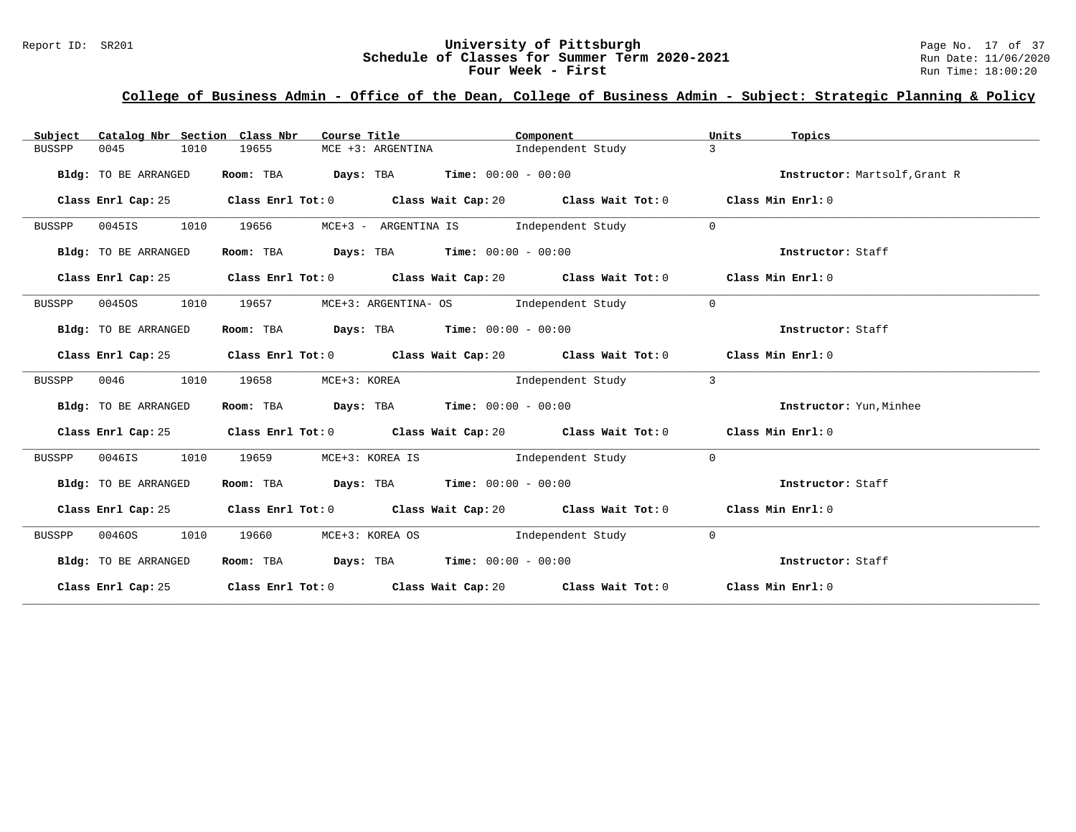#### Report ID: SR201 **University of Pittsburgh University of Pittsburgh** Page No. 17 of 37<br>**Schedule of Classes for Summer Term 2020-2021** Run Date: 11/06/2020 **Schedule of Classes for Summer Term 2020-2021** Run Date: 11/06/2020<br>**Four Week - First** Run Time: 18:00:20 Four Week - First

| Catalog Nbr Section Class Nbr<br>Subject | Course Title                                                                             | Component                                                                                   | Units<br>Topics               |
|------------------------------------------|------------------------------------------------------------------------------------------|---------------------------------------------------------------------------------------------|-------------------------------|
| 0045<br>1010<br>BUSSPP                   | 19655<br>$MCE +3: ARGENTINA$                                                             | Independent Study                                                                           | $\mathcal{L}$                 |
| Bldg: TO BE ARRANGED                     | Room: TBA $Days:$ TBA $Time: 00:00 - 00:00$                                              |                                                                                             | Instructor: Martsolf, Grant R |
| Class Enrl Cap: 25                       |                                                                                          | Class Enrl Tot: $0$ Class Wait Cap: $20$ Class Wait Tot: $0$ Class Min Enrl: $0$            |                               |
| 1010<br>0045IS<br>BUSSPP                 | 19656                                                                                    | MCE+3 - ARGENTINA IS Independent Study                                                      | $\overline{0}$                |
| Bldg: TO BE ARRANGED                     | Room: TBA $Days:$ TBA $Time: 00:00 - 00:00$                                              |                                                                                             | Instructor: Staff             |
| Class Enrl Cap: 25                       |                                                                                          | Class Enrl Tot: $0$ Class Wait Cap: $20$ Class Wait Tot: $0$ Class Min Enrl: $0$            |                               |
| 1010<br>BUSSPP<br>00450S                 | 19657                                                                                    | MCE+3: ARGENTINA- OS           Independent Study                                            | $\overline{0}$                |
| Bldg: TO BE ARRANGED                     | Room: TBA $\rule{1em}{0.15mm}$ Days: TBA $\rule{1.15mm}]{0.15mm}$ Time: $0.000 - 0.0000$ |                                                                                             | Instructor: Staff             |
|                                          |                                                                                          | Class Enrl Cap: 25 Class Enrl Tot: 0 Class Wait Cap: 20 Class Wait Tot: 0 Class Min Enrl: 0 |                               |
| 0046<br>1010<br>BUSSPP                   | 19658<br>MCE+3: KOREA                                                                    | Independent Study                                                                           | $\overline{3}$                |
| Bldg: TO BE ARRANGED                     | Room: TBA $Days:$ TBA $Time: 00:00 - 00:00$                                              |                                                                                             | Instructor: Yun, Minhee       |
|                                          |                                                                                          | Class Enrl Cap: 25 Class Enrl Tot: 0 Class Wait Cap: 20 Class Wait Tot: 0 Class Min Enrl: 0 |                               |
| 0046IS<br>1010<br>BUSSPP                 | 19659                                                                                    | MCE+3: KOREA IS                       Independent Study                                     | $\overline{0}$                |
| Bldg: TO BE ARRANGED                     | Room: TBA $Days:$ TBA $Time: 00:00 - 00:00$                                              |                                                                                             | Instructor: Staff             |
|                                          |                                                                                          | Class Enrl Cap: 25 Class Enrl Tot: 0 Class Wait Cap: 20 Class Wait Tot: 0 Class Min Enrl: 0 |                               |
| 00460S<br>1010<br>BUSSPP                 |                                                                                          | 19660 MCE+3: KOREA OS 1ndependent Study                                                     | $\overline{0}$                |
| Bldg: TO BE ARRANGED                     | Room: TBA $Days:$ TBA $Time: 00:00 - 00:00$                                              |                                                                                             | Instructor: Staff             |
|                                          |                                                                                          | Class Enrl Cap: 25 Class Enrl Tot: 0 Class Wait Cap: 20 Class Wait Tot: 0 Class Min Enrl: 0 |                               |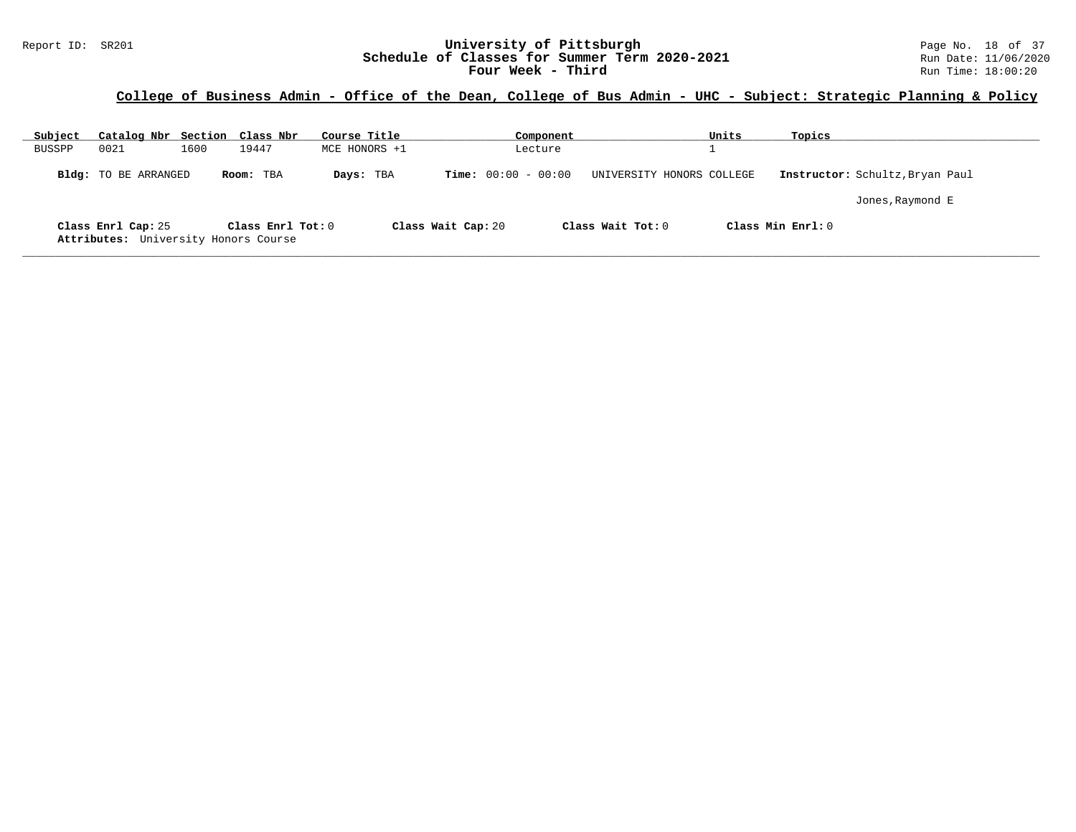#### Report ID: SR201 **University of Pittsburgh University of Pittsburgh** Page No. 18 of 37<br>**Schedule of Classes for Summer Term 2020-2021** Run Date: 11/06/2020 **Schedule of Classes for Summer Term 2020-2021** Run Date: 11/06/2020<br>**Four Week - Third** Run Time: 18:00:20 Four Week - Third

| Subject | Catalog Nbr Section Class Nbr                              |      |                   | Course Title  |                       | Component |                           | Units | Topics              |                                 |
|---------|------------------------------------------------------------|------|-------------------|---------------|-----------------------|-----------|---------------------------|-------|---------------------|---------------------------------|
| BUSSPP  | 0021                                                       | 1600 | 19447             | MCE HONORS +1 |                       | Lecture   |                           |       |                     |                                 |
|         | <b>Bldg:</b> TO BE ARRANGED                                |      | Room: TBA         | Days: TBA     | $Time: 00:00 - 00:00$ |           | UNIVERSITY HONORS COLLEGE |       |                     | Instructor: Schultz, Bryan Paul |
|         |                                                            |      |                   |               |                       |           |                           |       |                     | Jones, Raymond E                |
|         | Class Enrl Cap: 25<br>Attributes: University Honors Course |      | Class Enrl Tot: 0 |               | Class Wait Cap: 20    |           | Class Wait $Tot: 0$       |       | Class Min $Enrl: 0$ |                                 |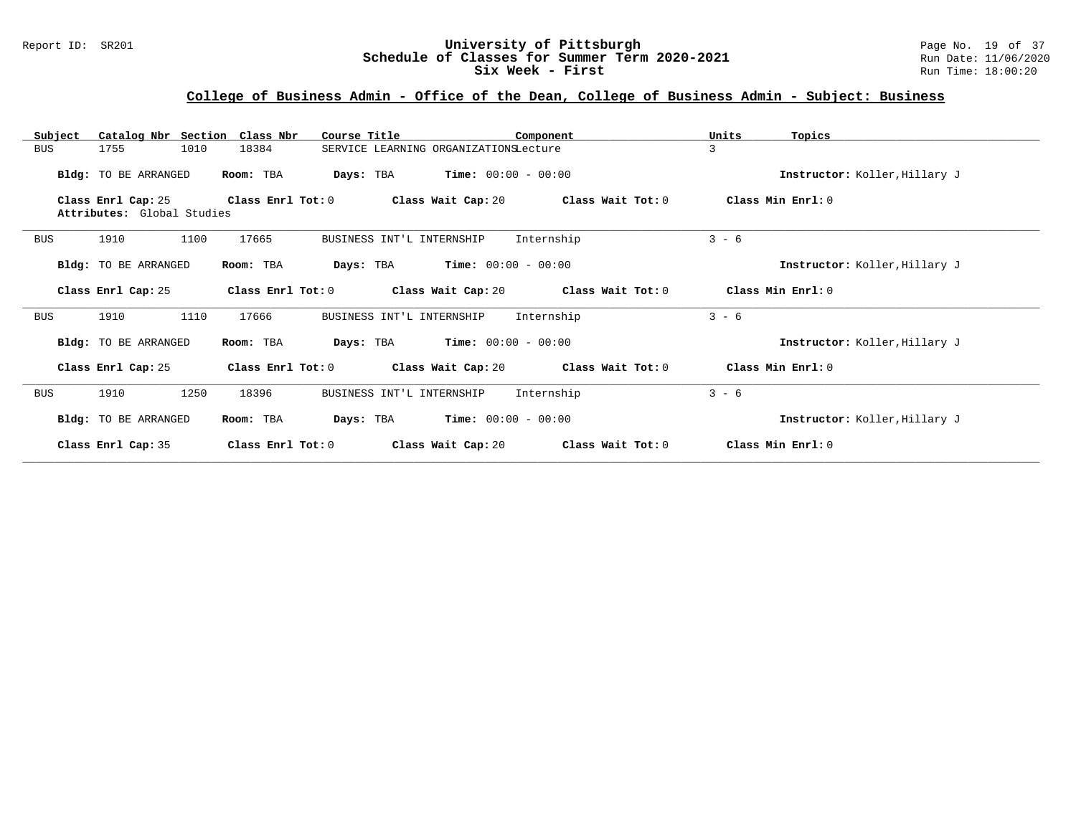#### Report ID: SR201 **University of Pittsburgh** Page No. 19 of 37 **Schedule of Classes for Summer Term 2020-2021** Run Date: 11/06/2020 **Six Week - First Run Time: 18:00:20**

## **College of Business Admin - Office of the Dean, College of Business Admin - Subject: Business**

| Subject    | Catalog Nbr Section                              | Class Nbr             | Course Title                          |                              | Component         | Units   | Topics                        |
|------------|--------------------------------------------------|-----------------------|---------------------------------------|------------------------------|-------------------|---------|-------------------------------|
| BUS        | 1010<br>1755                                     | 18384                 | SERVICE LEARNING ORGANIZATIONSLecture |                              |                   | 3       |                               |
|            | Bldg: TO BE ARRANGED                             | Room: TBA             | Days: TBA                             | $Time: 00:00 - 00:00$        |                   |         | Instructor: Koller, Hillary J |
|            | Class Enrl Cap: 25<br>Attributes: Global Studies | Class Enrl Tot: 0     | Class Wait Cap: 20                    |                              | Class Wait Tot: 0 |         | Class Min Enrl: 0             |
| <b>BUS</b> | 1910<br>1100                                     | 17665                 | BUSINESS INT'L INTERNSHIP             |                              | Internship        | $3 - 6$ |                               |
|            | Bldg: TO BE ARRANGED                             | Room: TBA             | Days: TBA                             | $Time: 00:00 - 00:00$        |                   |         | Instructor: Koller, Hillary J |
|            | Class Enrl Cap: 25                               | Class $Enrl$ Tot: $0$ | Class Wait Cap: 20                    |                              | Class Wait Tot: 0 |         | Class Min Enrl: 0             |
| <b>BUS</b> | 1110<br>1910                                     | 17666                 | BUSINESS INT'L INTERNSHIP             |                              | Internship        | $3 - 6$ |                               |
|            | Bldg: TO BE ARRANGED                             | Room: TBA             | Days: TBA                             | <b>Time:</b> $00:00 - 00:00$ |                   |         | Instructor: Koller, Hillary J |
|            | Class Enrl Cap: 25                               | Class Enrl Tot: 0     |                                       | Class Wait Cap: 20           | Class Wait Tot: 0 |         | Class Min Enrl: 0             |
| <b>BUS</b> | 1250<br>1910                                     | 18396                 | BUSINESS INT'L INTERNSHIP             |                              | Internship        | $3 - 6$ |                               |
|            | Bldg: TO BE ARRANGED                             | Room: TBA             | Days: TBA                             | $Time: 00:00 - 00:00$        |                   |         | Instructor: Koller, Hillary J |
|            | Class Enrl Cap: 35                               | Class Enrl Tot: 0     |                                       | Class Wait Cap: 20           | Class Wait Tot: 0 |         | Class Min Enrl: 0             |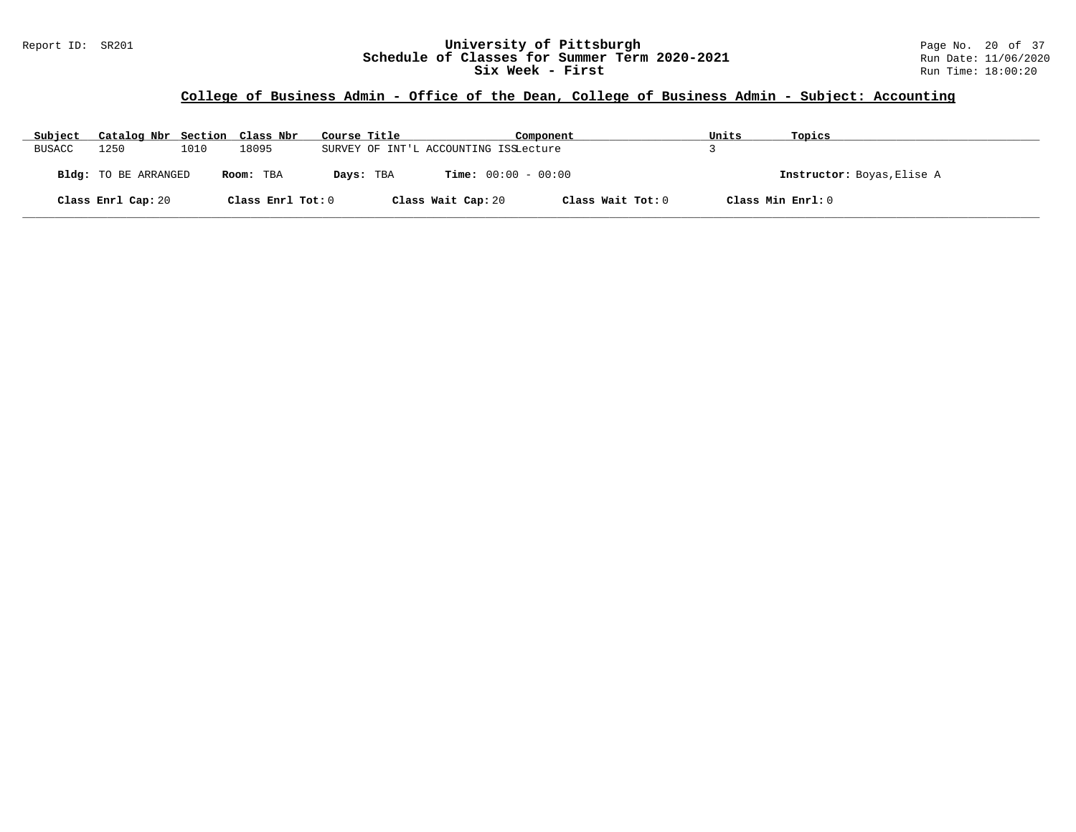#### Report ID: SR201 **University of Pittsburgh University of Pittsburgh** Page No. 20 of 37<br>**Schedule of Classes for Summer Term 2020-2021** Run Date: 11/06/2020 **Schedule of Classes for Summer Term 2020-2021** Run Date: 11/06/2020<br>Six Week - First Run Time: 18:00:20 **Six Week - First**

#### **College of Business Admin - Office of the Dean, College of Business Admin - Subject: Accounting**

| Subject       | Catalog Nbr Section Class Nbr |      |                   | Course Title |                                       | Component         | Units | Topics                     |
|---------------|-------------------------------|------|-------------------|--------------|---------------------------------------|-------------------|-------|----------------------------|
| <b>BUSACC</b> | 1250                          | 1010 | 18095             |              | SURVEY OF INT'L ACCOUNTING ISSLecture |                   |       |                            |
|               | Bldg: TO BE ARRANGED          |      | Room: TBA         | Days: TBA    | <b>Time:</b> $00:00 - 00:00$          |                   |       | Instructor: Boyas, Elise A |
|               | Class Enrl Cap: 20            |      | Class Enrl Tot: 0 |              | Class Wait Cap: 20                    | Class Wait Tot: 0 |       | Class Min Enrl: 0          |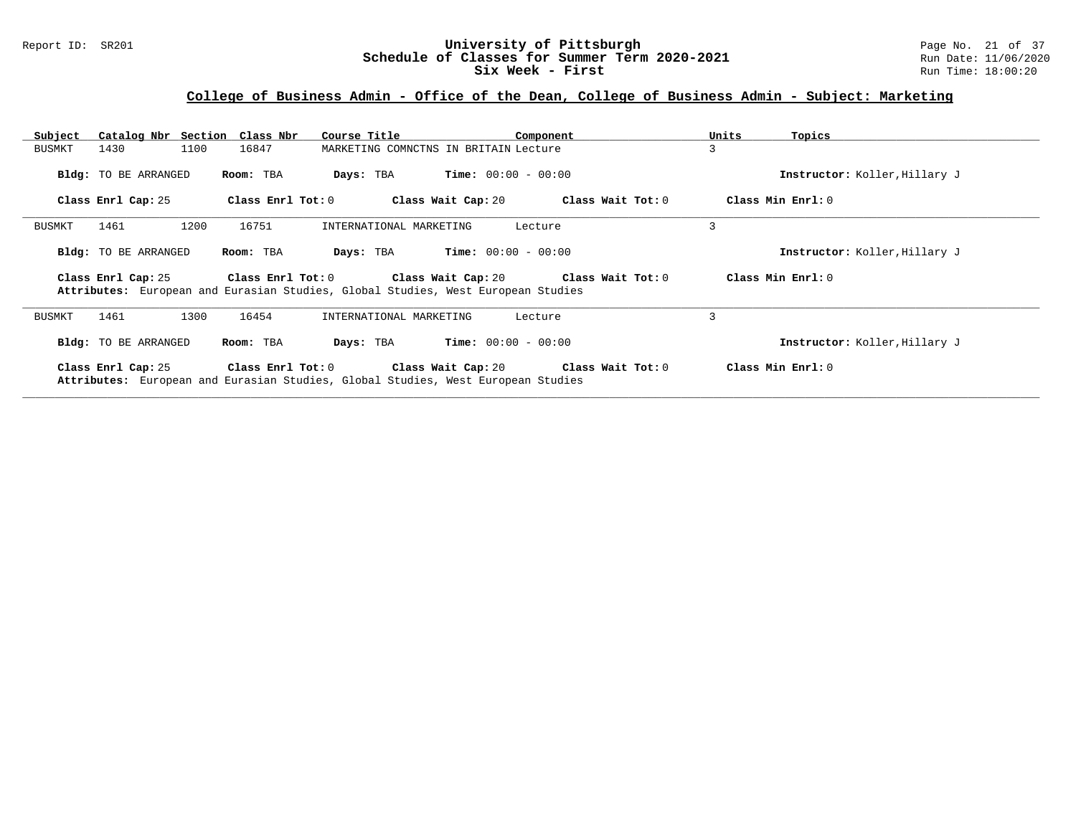#### Report ID: SR201 **University of Pittsburgh** Page No. 21 of 37 **Schedule of Classes for Summer Term 2020-2021** Run Date: 11/06/2020 **Six Week - First Run Time:** 18:00:20

## **College of Business Admin - Office of the Dean, College of Business Admin - Subject: Marketing**

| Catalog Nbr Section Class Nbr<br>Subject | Course Title                                                                                          | Component                               | Units<br>Topics               |
|------------------------------------------|-------------------------------------------------------------------------------------------------------|-----------------------------------------|-------------------------------|
| 1100<br>1430<br>BUSMKT                   | 16847                                                                                                 | MARKETING COMNCTNS IN BRITAIN Lecture   | 3                             |
| Bldg: TO BE ARRANGED                     | Room: TBA<br>Days: TBA                                                                                | $Time: 00:00 - 00:00$                   | Instructor: Koller, Hillary J |
| Class Enrl Cap: 25                       | Class Enrl Tot: 0                                                                                     | Class Wait Cap: 20<br>Class Wait Tot: 0 | Class Min $Err1:0$            |
| 1461<br>1200<br>BUSMKT                   | 16751<br>INTERNATIONAL MARKETING                                                                      | Lecture                                 | 3                             |
| Bldg: TO BE ARRANGED                     | Room: TBA<br>Days: TBA                                                                                | $Time: 00:00 - 00:00$                   | Instructor: Koller, Hillary J |
| Class Enrl Cap: 25                       | Class Enrl Tot: 0<br>Attributes: European and Eurasian Studies, Global Studies, West European Studies | Class Wait Cap: 20 Class Wait Tot: 0    | Class Min Enrl: 0             |
| 1300<br>1461<br>BUSMKT                   | 16454<br>INTERNATIONAL MARKETING                                                                      | Lecture                                 | 3                             |
| Bldg: TO BE ARRANGED                     | Room: TBA<br>Days: TBA                                                                                | <b>Time:</b> $00:00 - 00:00$            | Instructor: Koller, Hillary J |
| Class Enrl Cap: 25                       | Class Enrl Tot: 0<br>Attributes: European and Eurasian Studies, Global Studies, West European Studies | Class Wait Cap: 20 Class Wait Tot: 0    | Class Min Enrl: 0             |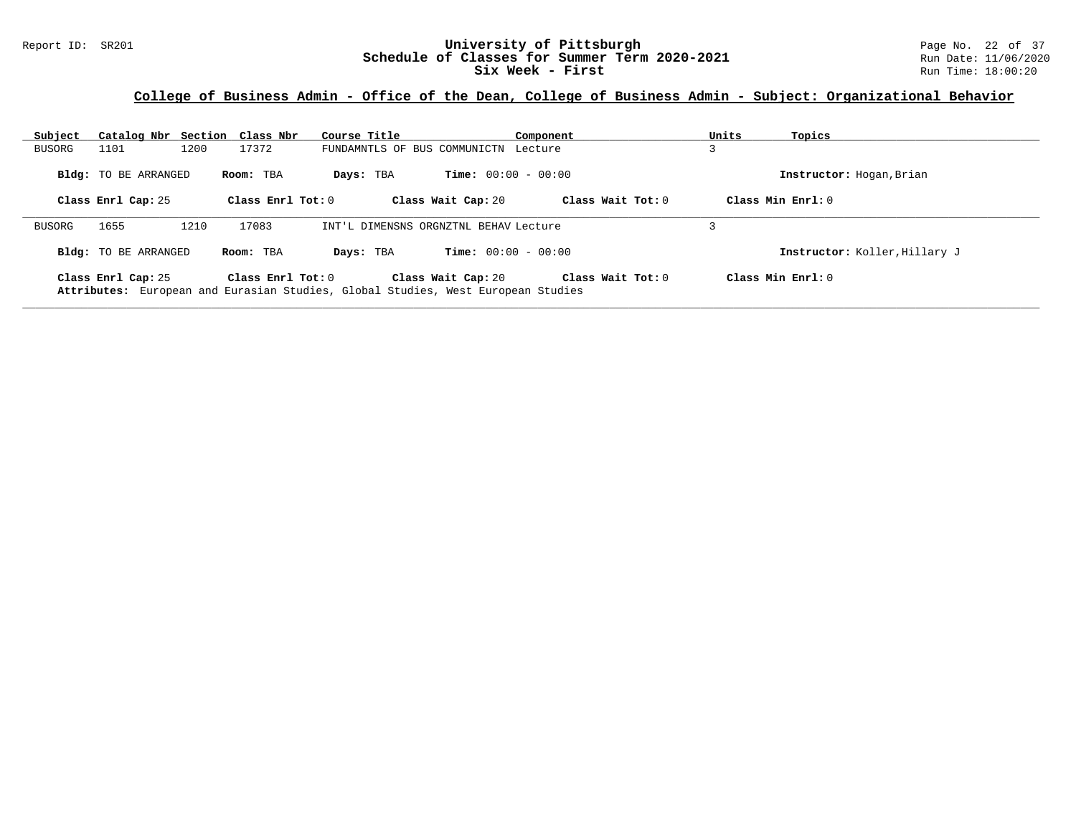#### Report ID: SR201 **1988 Mage 10: SR201 University of Pittsburgh** Page No. 22 of 37<br>**Schedule of Classes for Summer Term 2020-2021** Run Date: 11/06/2020 **Schedule of Classes for Summer Term 2020-2021** Run Date: 11/06/2020<br>Six Week - First Run Time: 18:00:20 **Six Week - First**

## **College of Business Admin - Office of the Dean, College of Business Admin - Subject: Organizational Behavior**

| Subject | Catalog Nbr Section Class Nbr |      |                     | Course Title                                                                     |                              | Component           | Units               | Topics                        |
|---------|-------------------------------|------|---------------------|----------------------------------------------------------------------------------|------------------------------|---------------------|---------------------|-------------------------------|
| BUSORG  | 1101                          | 1200 | 17372               | FUNDAMNTLS OF BUS COMMUNICTN Lecture                                             |                              |                     |                     |                               |
|         | <b>Bldg:</b> TO BE ARRANGED   |      | Room: TBA           | Days: TBA                                                                        | <b>Time:</b> $00:00 - 00:00$ |                     |                     | Instructor: Hogan, Brian      |
|         | Class Enrl Cap: 25            |      | Class Enrl Tot: $0$ |                                                                                  | Class Wait Cap: 20           | Class Wait Tot: $0$ | Class Min $Enrl: 0$ |                               |
| BUSORG  | 1655                          | 1210 | 17083               | INT'L DIMENSNS ORGNZTNL BEHAV Lecture                                            |                              |                     |                     |                               |
|         | <b>Bldg:</b> TO BE ARRANGED   |      | Room: TBA           | Days: TBA                                                                        | <b>Time:</b> $00:00 - 00:00$ |                     |                     | Instructor: Koller, Hillary J |
|         | Class Enrl Cap: 25            |      | Class Enrl Tot: $0$ | Attributes: European and Eurasian Studies, Global Studies, West European Studies | Class Wait Cap: 20           | Class Wait Tot: 0   | Class Min $Enrl: 0$ |                               |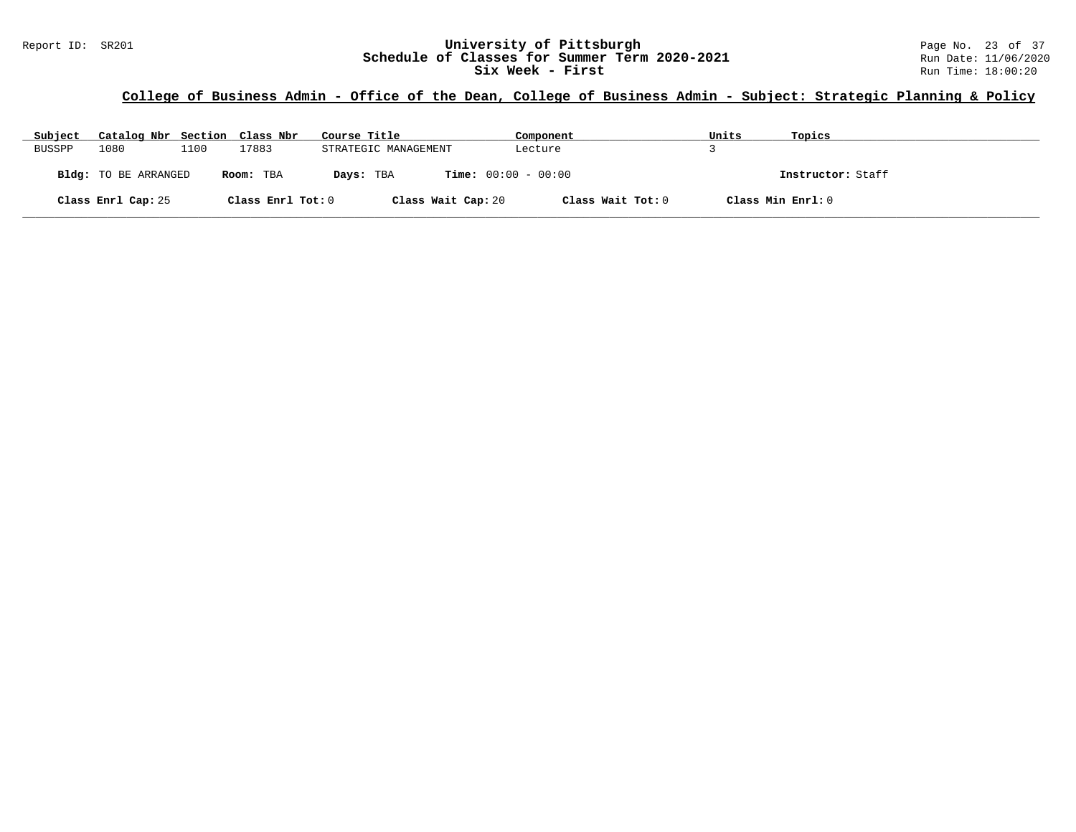| Subject       | Catalog Nbr Section Class Nbr |      |                   | Course Title                              | Component         | Units | Topics            |
|---------------|-------------------------------|------|-------------------|-------------------------------------------|-------------------|-------|-------------------|
| <b>BUSSPP</b> | 1080                          | 1100 | 17883             | STRATEGIC MANAGEMENT                      | Lecture           |       |                   |
|               | <b>Bldg:</b> TO BE ARRANGED   |      | Room: TBA         | <b>Time:</b> $00:00 - 00:00$<br>Days: TBA |                   |       | Instructor: Staff |
|               | Class Enrl Cap: 25            |      | Class Enrl Tot: 0 | Class Wait Cap: 20                        | Class Wait Tot: 0 |       | Class Min Enrl: 0 |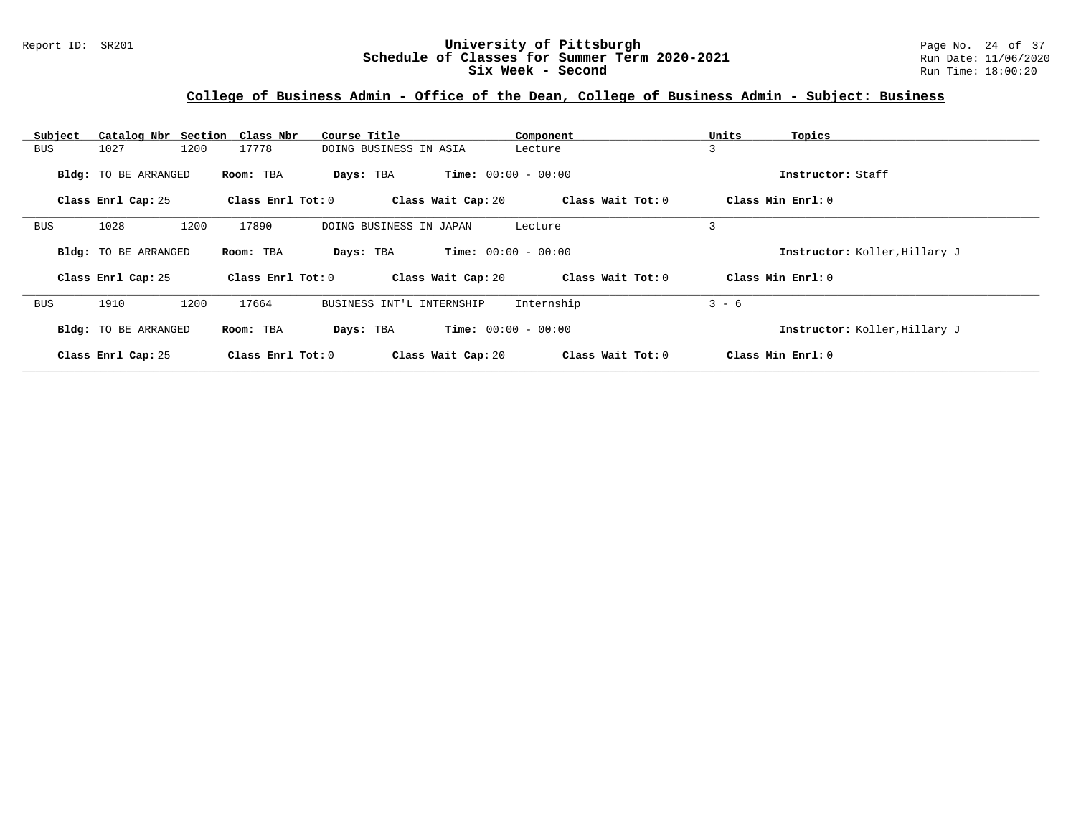#### Report ID: SR201 **University of Pittsburgh University of Pittsburgh** Page No. 24 of 37<br>**Schedule of Classes for Summer Term 2020-2021** Run Date: 11/06/2020 **Schedule of Classes for Summer Term 2020-2021** Run Date: 11/06/2020<br>Six Week - Second Run Time: 18:00:20 **Six Week - Second**

#### **College of Business Admin - Office of the Dean, College of Business Admin - Subject: Business**

| Subject | Catalog Nbr Section Class Nbr |                   | Course Title              | Component                    | Units<br>Topics               |
|---------|-------------------------------|-------------------|---------------------------|------------------------------|-------------------------------|
| BUS     | 1027<br>1200                  | 17778             | DOING BUSINESS IN ASIA    | Lecture                      | $\overline{3}$                |
|         | Bldg: TO BE ARRANGED          | Room: TBA         | Days: TBA                 | <b>Time:</b> $00:00 - 00:00$ | Instructor: Staff             |
|         | Class Enrl Cap: 25            | Class Enrl Tot: 0 | Class Wait Cap: 20        | Class Wait Tot: 0            | Class Min Enrl: 0             |
|         |                               |                   |                           |                              |                               |
| BUS     | 1028<br>1200                  | 17890             | DOING BUSINESS IN JAPAN   | Lecture                      | 3                             |
|         | Bldg: TO BE ARRANGED          | Room: TBA         | Days: TBA                 | <b>Time:</b> $00:00 - 00:00$ | Instructor: Koller, Hillary J |
|         | Class Enrl Cap: 25            | Class Enrl Tot: 0 | Class Wait Cap: 20        | Class Wait Tot: 0            | Class Min Enrl: 0             |
| BUS     | 1910<br>1200                  | 17664             | BUSINESS INT'L INTERNSHIP | Internship                   | $3 - 6$                       |
|         | Bldg: TO BE ARRANGED          | Room: TBA         | Days: TBA                 | <b>Time:</b> $00:00 - 00:00$ | Instructor: Koller, Hillary J |
|         | Class Enrl Cap: 25            | Class Enrl Tot: 0 | Class Wait Cap: 20        | Class Wait Tot: 0            | Class Min Enrl: 0             |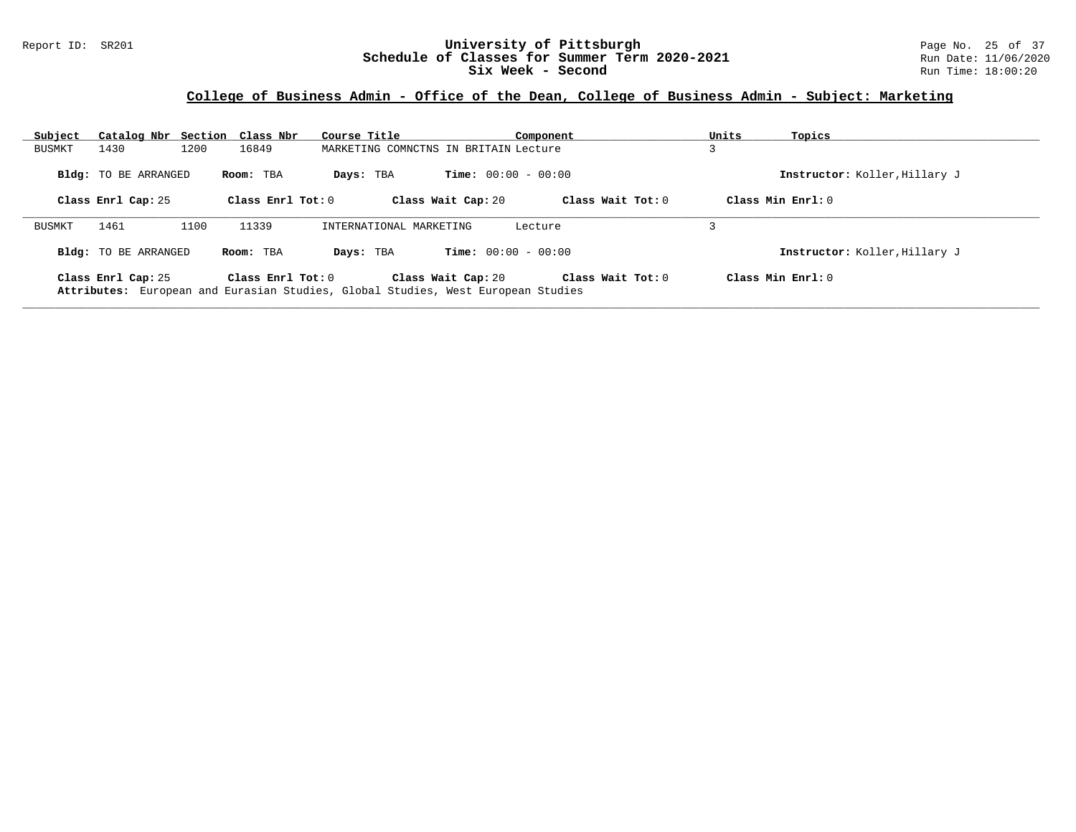#### Report ID: SR201 **University of Pittsburgh** Page No. 25 of 37 **Schedule of Classes for Summer Term 2020-2021** Run Date: 11/06/2020 **Six Week - Second Run Time: 18:00:20**

#### **College of Business Admin - Office of the Dean, College of Business Admin - Subject: Marketing**

| Subject | Catalog Nbr Section Class Nbr |           | Course Title        |                                                                                                        | Component           | Units | Topics                        |
|---------|-------------------------------|-----------|---------------------|--------------------------------------------------------------------------------------------------------|---------------------|-------|-------------------------------|
| BUSMKT  | 1430                          | 1200      | 16849               | MARKETING COMNCTNS IN BRITAIN Lecture                                                                  |                     |       |                               |
|         | <b>Bldg:</b> TO BE ARRANGED   | Room: TBA | Days: TBA           | <b>Time:</b> $00:00 - 00:00$                                                                           |                     |       | Instructor: Koller, Hillary J |
|         | Class Enrl Cap: 25            |           | Class Enrl Tot: $0$ | Class Wait Cap: 20                                                                                     | Class Wait Tot: $0$ |       | Class Min Enrl: 0             |
| BUSMKT  | 1461                          | 1100      | 11339               | INTERNATIONAL MARKETING                                                                                | Lecture             |       |                               |
|         | <b>Bldg:</b> TO BE ARRANGED   | Room: TBA | Days: TBA           | <b>Time:</b> $00:00 - 00:00$                                                                           |                     |       | Instructor: Koller, Hillary J |
|         | Class Enrl Cap: 25            |           | Class Enrl Tot: $0$ | Class Wait Cap: 20<br>Attributes: European and Eurasian Studies, Global Studies, West European Studies | Class Wait Tot: $0$ |       | Class Min Enrl: 0             |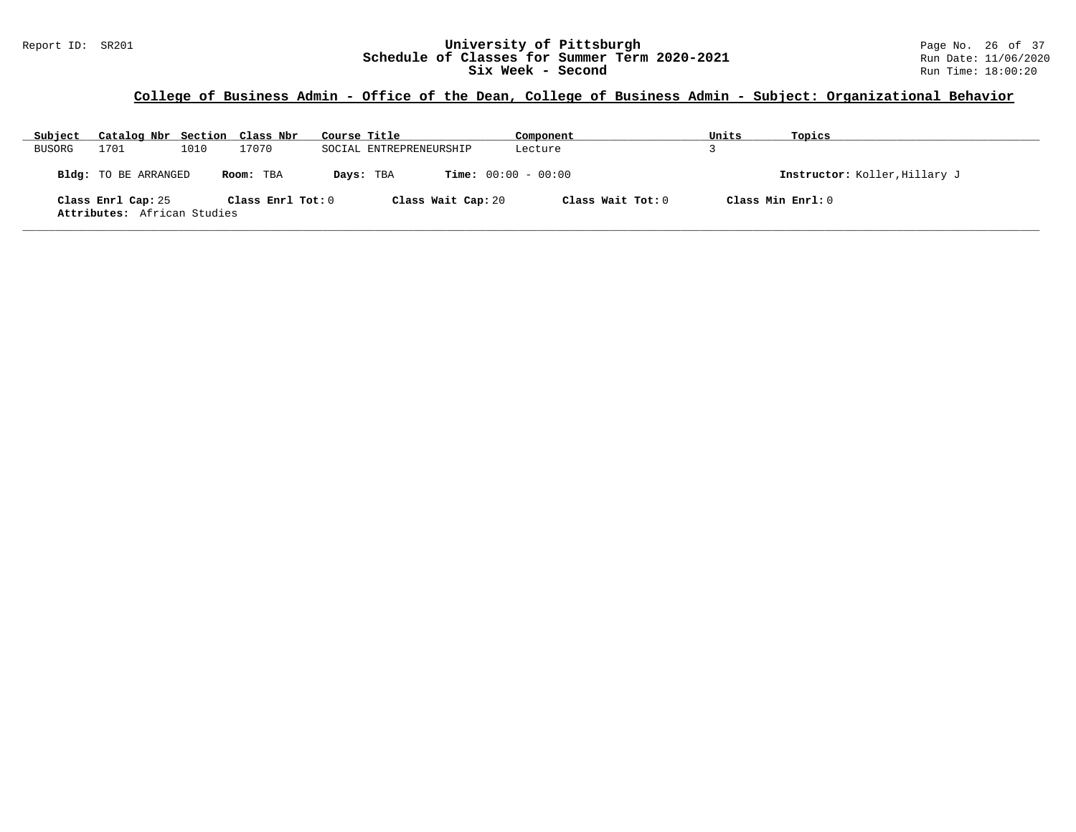#### Report ID: SR201 **1988 Mage 10: SR201 University of Pittsburgh** Page No. 26 of 37<br>**Schedule of Classes for Summer Term 2020-2021** Run Date: 11/06/2020 **Schedule of Classes for Summer Term 2020-2021** Run Date: 11/06/2020<br>Six Week - Second Run Time: 18:00:20 **Six Week - Second**

## **College of Business Admin - Office of the Dean, College of Business Admin - Subject: Organizational Behavior**

| Subject | Catalog Nbr Section Class Nbr                     |      |                   | Course Title |                              | Component         | Units | Topics                        |
|---------|---------------------------------------------------|------|-------------------|--------------|------------------------------|-------------------|-------|-------------------------------|
| BUSORG  | 1701                                              | 1010 | 17070             |              | SOCIAL ENTREPRENEURSHIP      | Lecture           |       |                               |
|         | <b>Bldg:</b> TO BE ARRANGED                       |      | Room: TBA         | Days: TBA    | <b>Time:</b> $00:00 - 00:00$ |                   |       | Instructor: Koller, Hillary J |
|         | Class Enrl Cap: 25<br>Attributes: African Studies |      | Class Enrl Tot: 0 |              | Class Wait Cap: 20           | Class Wait Tot: 0 |       | Class Min $Enr1:0$            |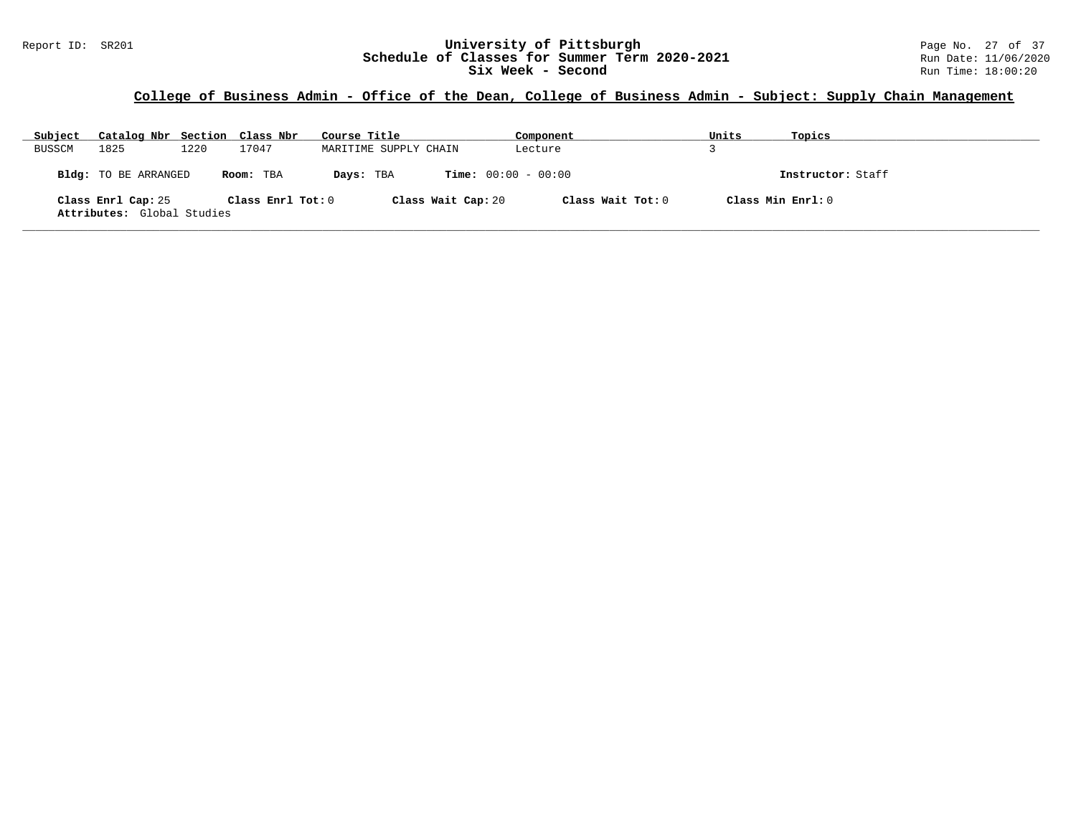#### Report ID: SR201 **1988 Mage 10: SR201 University of Pittsburgh** Page No. 27 of 37<br>**Schedule of Classes for Summer Term 2020-2021** Run Date: 11/06/2020 **Schedule of Classes for Summer Term 2020-2021** Run Date: 11/06/2020<br>Six Week - Second Run Time: 18:00:20 **Six Week - Second**

## **College of Business Admin - Office of the Dean, College of Business Admin - Subject: Supply Chain Management**

| Subject | Catalog Nbr Section Class Nbr                    |      |                   | Course Title          |                              | Component         | Units              | Topics            |
|---------|--------------------------------------------------|------|-------------------|-----------------------|------------------------------|-------------------|--------------------|-------------------|
| BUSSCM  | 1825                                             | 1220 | 17047             | MARITIME SUPPLY CHAIN |                              | Lecture           |                    |                   |
|         | Bldg: TO BE ARRANGED                             |      | Room: TBA         | Days: TBA             | <b>Time:</b> $00:00 - 00:00$ |                   |                    | Instructor: Staff |
|         | Class Enrl Cap: 25<br>Attributes: Global Studies |      | Class Enrl Tot: 0 |                       | Class Wait Cap: 20           | Class Wait Tot: 0 | Class Min $Enr1:0$ |                   |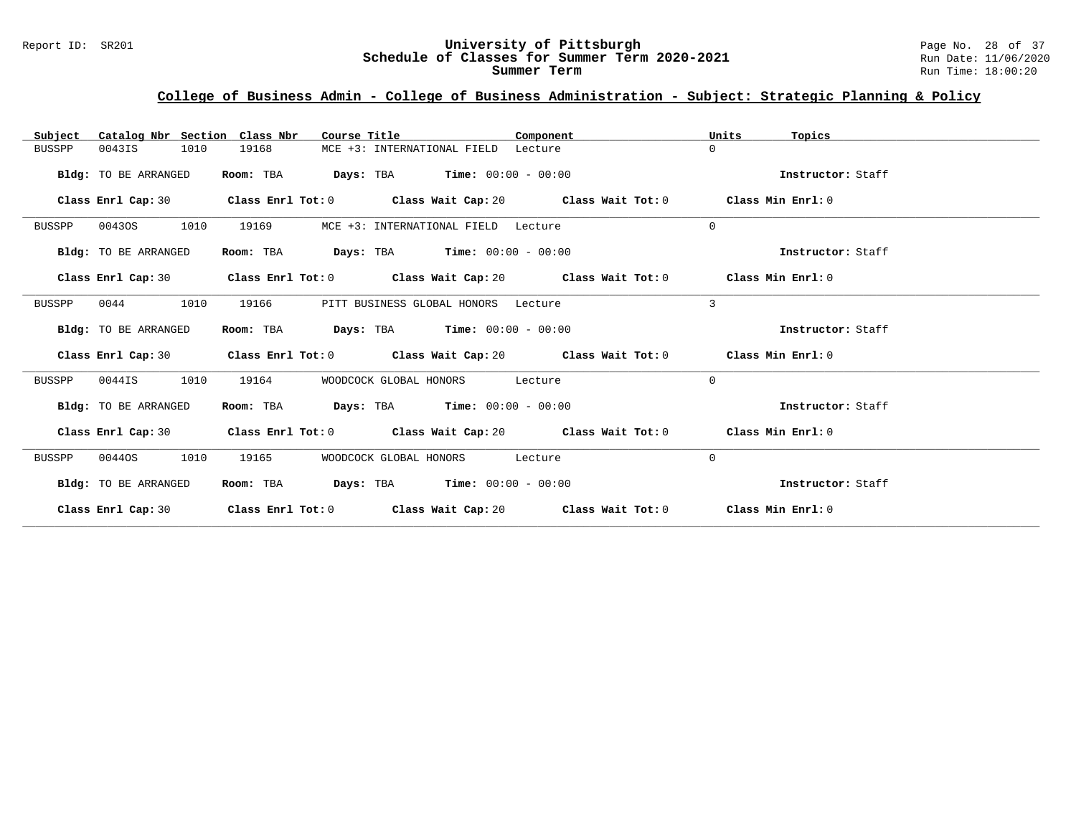# Report ID: SR201 **1988 Mage 10: SR201 University of Pittsburgh** Page No. 28 of 37<br>**Schedule of Classes for Summer Term 2020-2021** Run Date: 11/06/2020 Schedule of Classes for Summer Term 2020-2021

## **College of Business Admin - College of Business Administration - Subject: Strategic Planning & Policy**

| Catalog Nbr Section Class Nbr<br>Subject | Course Title                                | Component                                                                                            | Units<br>Topics   |
|------------------------------------------|---------------------------------------------|------------------------------------------------------------------------------------------------------|-------------------|
| 1010<br>0043IS<br>BUSSPP                 | 19168                                       | MCE +3: INTERNATIONAL FIELD Lecture                                                                  | $\Omega$          |
| Bldg: TO BE ARRANGED                     | Room: TBA                                   | $Days: TBA$ Time: $00:00 - 00:00$                                                                    | Instructor: Staff |
|                                          |                                             | Class Enrl Cap: 30 $\hbox{Class Enrl Tot: 0}$ $\hbox{Class Wait Cap: 20}$ $\hbox{Class Mail Tot: 0}$ | Class Min Enrl: 0 |
| 1010<br>BUSSPP<br>00430S                 | 19169                                       | MCE +3: INTERNATIONAL FIELD Lecture                                                                  | $\Omega$          |
| Bldg: TO BE ARRANGED                     | Room: TBA                                   | <b>Days:</b> TBA <b>Time:</b> $00:00 - 00:00$                                                        | Instructor: Staff |
|                                          |                                             | Class Enrl Cap: 30 Class Enrl Tot: 0 Class Wait Cap: 20 Class Wait Tot: 0 Class Min Enrl: 0          |                   |
| 1010<br>0044<br>BUSSPP                   | 19166                                       | PITT BUSINESS GLOBAL HONORS Lecture                                                                  | 3                 |
| <b>Bldg:</b> TO BE ARRANGED              | Room: TBA $Days:$ TBA $Time: 00:00 - 00:00$ |                                                                                                      | Instructor: Staff |
|                                          |                                             | Class Enrl Cap: 30 Class Enrl Tot: 0 Class Wait Cap: 20 Class Wait Tot: 0 Class Min Enrl: 0          |                   |
| 1010<br>0044IS<br>BUSSPP                 | 19164<br>WOODCOCK GLOBAL HONORS             | Lecture                                                                                              | $\Omega$          |
| Bldg: TO BE ARRANGED                     | Room: TBA $Days:$ TBA $Time: 00:00 - 00:00$ |                                                                                                      | Instructor: Staff |
| Class Enrl Cap: 30                       |                                             | Class Enrl Tot: 0 $\qquad$ Class Wait Cap: 20 $\qquad$ Class Wait Tot: 0 $\qquad$ Class Min Enrl: 0  |                   |
| 1010<br>BUSSPP<br>00440S                 | 19165<br>WOODCOCK GLOBAL HONORS             | Lecture                                                                                              | $\mathbf{0}$      |
| Bldg: TO BE ARRANGED                     | Room: TBA $Days:$ TBA $Time: 00:00 - 00:00$ |                                                                                                      | Instructor: Staff |
|                                          |                                             | Class Enrl Cap: 30 Class Enrl Tot: 0 Class Wait Cap: 20 Class Wait Tot: 0 Class Min Enrl: 0          |                   |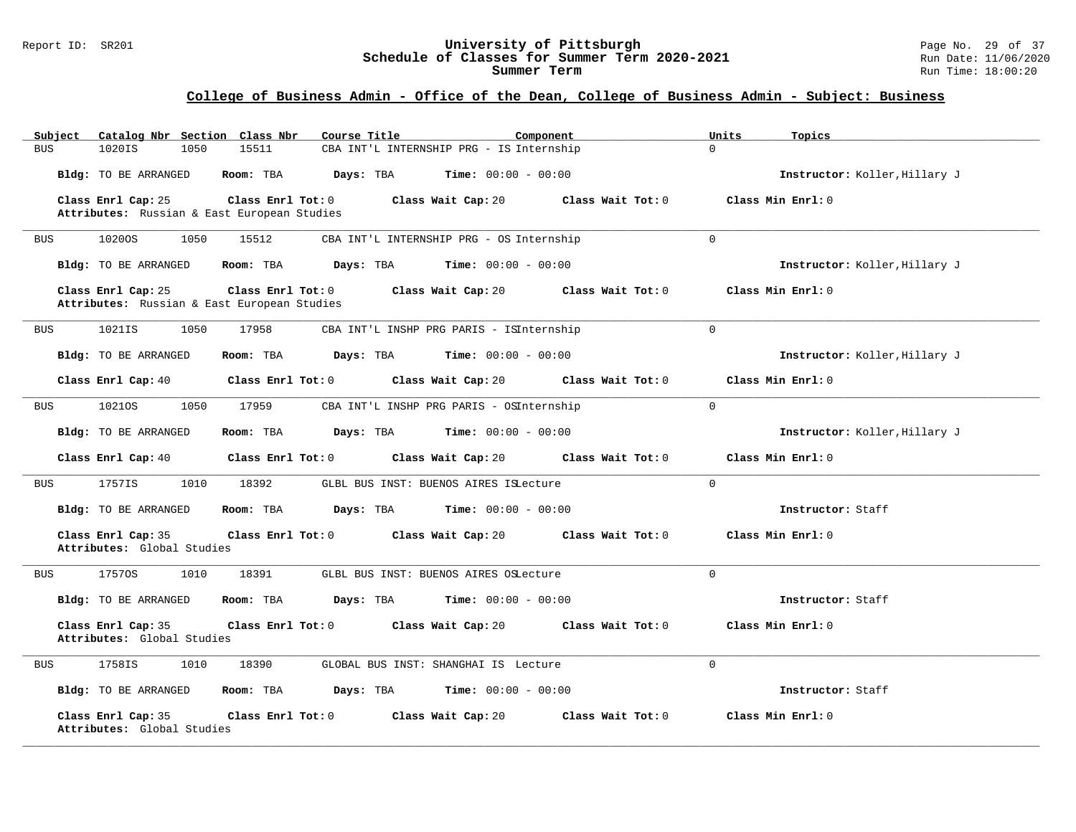#### Report ID: SR201 **University of Pittsburgh** Page No. 29 of 37 **Schedule of Classes for Summer Term 2020-2021** Run Date: 11/06/2020 **Summer Term** Run Time: 18:00:20

## **College of Business Admin - Office of the Dean, College of Business Admin - Subject: Business**

| Catalog Nbr Section Class Nbr<br>Course Title<br>Subject                               | Component                                 | Units<br>Topics               |
|----------------------------------------------------------------------------------------|-------------------------------------------|-------------------------------|
| 1020IS<br>15511<br><b>BUS</b><br>1050                                                  | CBA INT'L INTERNSHIP PRG - IS Internship  | $\Omega$                      |
| Bldg: TO BE ARRANGED<br>Room: TBA                                                      | Days: TBA<br><b>Time:</b> $00:00 - 00:00$ | Instructor: Koller, Hillary J |
| Class Enrl Cap: 25<br>Class Enrl Tot: 0<br>Attributes: Russian & East European Studies | Class Wait Tot: 0<br>Class Wait Cap: 20   | Class Min Enrl: 0             |
| 10200S<br>1050<br><b>BUS</b><br>15512                                                  | CBA INT'L INTERNSHIP PRG - OS Internship  | $\Omega$                      |
| Bldg: TO BE ARRANGED<br>Room: TBA                                                      | Days: TBA<br><b>Time:</b> $00:00 - 00:00$ | Instructor: Koller, Hillary J |
| Class Enrl Cap: 25<br>Class Enrl Tot: 0<br>Attributes: Russian & East European Studies | Class Wait Cap: 20<br>Class Wait Tot: 0   | Class Min Enrl: 0             |
| 1021IS<br>1050<br>17958<br>BUS                                                         | CBA INT'L INSHP PRG PARIS - ISInternship  | $\Omega$                      |
| Bldg: TO BE ARRANGED<br>Room: TBA                                                      | Days: TBA<br><b>Time:</b> $00:00 - 00:00$ | Instructor: Koller, Hillary J |
| Class Enrl Cap: 40<br>Class Enrl Tot: 0                                                | Class Wait Cap: 20<br>Class Wait Tot: 0   | Class Min Enrl: 0             |
| 10210S<br>1050<br>17959<br><b>BUS</b>                                                  | CBA INT'L INSHP PRG PARIS - OSInternship  | $\Omega$                      |
| Bldg: TO BE ARRANGED<br>Room: TBA                                                      | Days: TBA<br><b>Time:</b> $00:00 - 00:00$ | Instructor: Koller, Hillary J |
| Class Enrl Cap: 40<br>Class Enrl Tot: 0                                                | Class Wait Cap: 20<br>Class Wait Tot: 0   | Class Min Enrl: 0             |
| 1757IS<br>1010<br>18392<br><b>BUS</b>                                                  | GLBL BUS INST: BUENOS AIRES ISLecture     | $\Omega$                      |
| Bldg: TO BE ARRANGED<br>Room: TBA                                                      | <b>Time:</b> $00:00 - 00:00$<br>Days: TBA | Instructor: Staff             |
| Class Enrl Cap: 35<br>Class Enrl Tot: 0<br>Attributes: Global Studies                  | Class Wait Cap: 20<br>Class Wait Tot: 0   | Class Min Enrl: 0             |
| 1010<br>18391<br>17570S<br>BUS                                                         | GLBL BUS INST: BUENOS AIRES OSLecture     | $\Omega$                      |
| Bldg: TO BE ARRANGED<br>Room: TBA                                                      | <b>Time:</b> $00:00 - 00:00$<br>Days: TBA | Instructor: Staff             |
| Class Enrl Cap: 35<br>Class Enrl Tot: 0<br>Attributes: Global Studies                  | Class Wait Cap: 20<br>Class Wait Tot: 0   | Class Min Enrl: 0             |
| 1758IS<br>1010<br>18390<br><b>BUS</b>                                                  | GLOBAL BUS INST: SHANGHAI IS Lecture      | $\Omega$                      |
| Bldg: TO BE ARRANGED<br>Room: TBA                                                      | Days: TBA<br><b>Time:</b> $00:00 - 00:00$ | Instructor: Staff             |
| Class Enrl Cap: 35<br>Class Enrl Tot: 0<br>Attributes: Global Studies                  | Class Wait Cap: 20<br>Class Wait Tot: 0   | Class Min Enrl: 0             |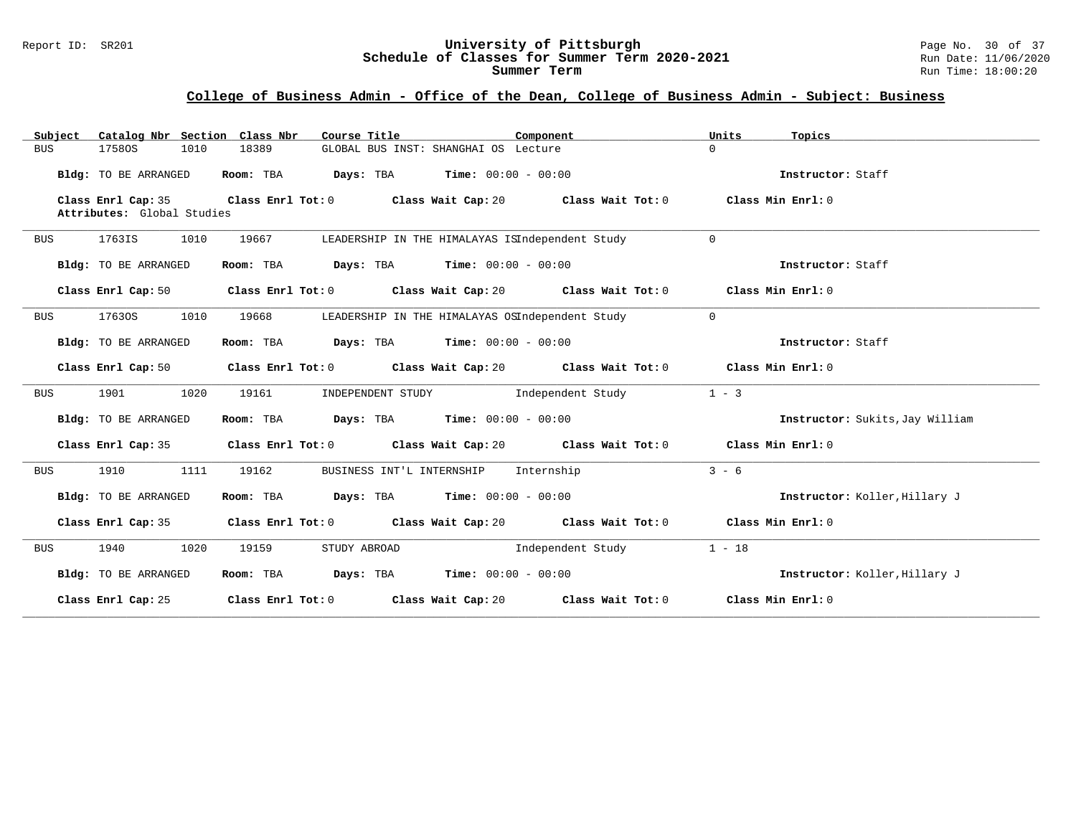#### Report ID: SR201 **University of Pittsburgh** Page No. 30 of 37 **Schedule of Classes for Summer Term 2020-2021** Run Date: 11/06/2020 **Summer Term** Run Time: 18:00:20

## **College of Business Admin - Office of the Dean, College of Business Admin - Subject: Business**

| Catalog Nbr Section Class Nbr<br>Subject         | Course Title                                                      | Component                                                                                           | Units<br>Topics                 |
|--------------------------------------------------|-------------------------------------------------------------------|-----------------------------------------------------------------------------------------------------|---------------------------------|
| <b>BUS</b><br>17580S<br>1010                     | 18389                                                             | GLOBAL BUS INST: SHANGHAI OS Lecture                                                                | $\Omega$                        |
| Bldg: TO BE ARRANGED                             | Room: TBA                                                         | <b>Days:</b> TBA <b>Time:</b> $00:00 - 00:00$                                                       | Instructor: Staff               |
| Class Enrl Cap: 35<br>Attributes: Global Studies | Class Enrl Tot: 0 Class Wait Cap: 20                              | Class Wait Tot: 0                                                                                   | Class Min Enrl: 0               |
| 1763IS<br>1010<br><b>BUS</b>                     | 19667                                                             | LEADERSHIP IN THE HIMALAYAS ISIndependent Study                                                     | $\Omega$                        |
| Bldg: TO BE ARRANGED                             | Room: TBA<br><b>Days:</b> TBA <b>Time:</b> $00:00 - 00:00$        |                                                                                                     | Instructor: Staff               |
| Class Enrl Cap: 50                               |                                                                   | Class Enrl Tot: 0 Class Wait Cap: 20 Class Wait Tot: 0                                              | Class Min Enrl: 0               |
| 1010<br>17630S<br><b>BUS</b>                     | 19668                                                             | LEADERSHIP IN THE HIMALAYAS OSIndependent Study                                                     | $\Omega$                        |
| Bldg: TO BE ARRANGED                             | <b>Days:</b> TBA <b>Time:</b> $00:00 - 00:00$<br>Room: TBA        |                                                                                                     | Instructor: Staff               |
| Class Enrl Cap: 50                               |                                                                   | Class Enrl Tot: 0 Class Wait Cap: 20 Class Wait Tot: 0                                              | Class Min Enrl: 0               |
| 1901<br>1020<br><b>BUS</b>                       | 19161<br>INDEPENDENT STUDY                                        | Independent Study                                                                                   | $1 - 3$                         |
| Bldg: TO BE ARRANGED                             | Room: TBA                                                         | <b>Days:</b> TBA <b>Time:</b> $00:00 - 00:00$                                                       | Instructor: Sukits, Jay William |
| Class Enrl Cap: 35                               |                                                                   | Class Enrl Tot: 0 $\qquad$ Class Wait Cap: 20 $\qquad$ Class Wait Tot: 0 $\qquad$ Class Min Enrl: 0 |                                 |
| 1910<br>1111<br>BUS                              | 19162<br>BUSINESS INT'L INTERNSHIP                                | Internship                                                                                          | $3 - 6$                         |
| Bldg: TO BE ARRANGED                             | Room: TBA<br>$\texttt{Davis:}$ TBA $\texttt{Time:}$ 00:00 - 00:00 |                                                                                                     | Instructor: Koller, Hillary J   |
| Class Enrl Cap: 35                               |                                                                   | Class Enrl Tot: $0$ Class Wait Cap: $20$ Class Wait Tot: $0$                                        | Class Min Enrl: 0               |
| 1020<br>1940<br>BUS                              | 19159<br>STUDY ABROAD                                             | Independent Study                                                                                   | $1 - 18$                        |
| Bldg: TO BE ARRANGED                             | <b>Days:</b> TBA <b>Time:</b> $00:00 - 00:00$<br>Room: TBA        |                                                                                                     | Instructor: Koller, Hillary J   |
| Class Enrl Cap: 25                               |                                                                   | Class Enrl Tot: $0$ Class Wait Cap: $20$ Class Wait Tot: $0$                                        | Class Min $Enr1:0$              |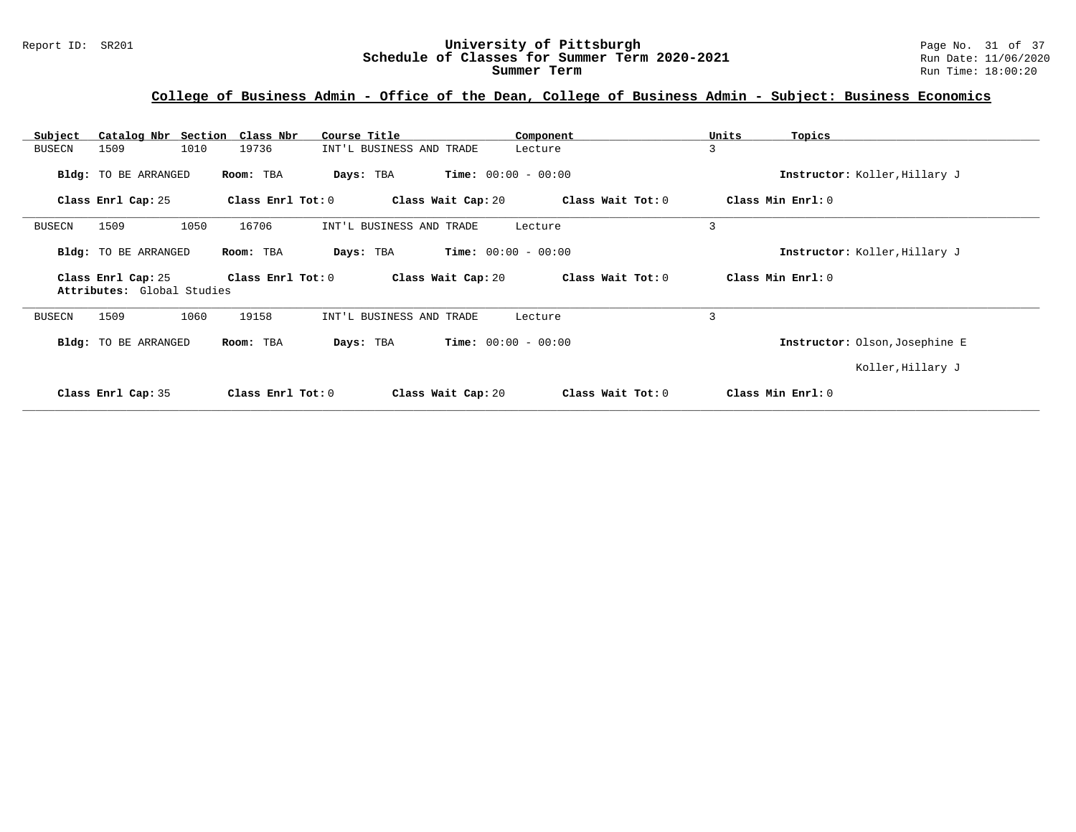# Report ID: SR201 **1988 Mage 10: SR201 University of Pittsburgh** Page No. 31 of 37<br>**Schedule of Classes for Summer Term 2020-2021** Run Date: 11/06/2020 Schedule of Classes for Summer Term 2020-2021

## **College of Business Admin - Office of the Dean, College of Business Admin - Subject: Business Economics**

| Catalog Nbr Section Class Nbr<br>Subject         | Course Title                            | Component                    | Units<br>Topics                |
|--------------------------------------------------|-----------------------------------------|------------------------------|--------------------------------|
| 1010<br>1509<br><b>BUSECN</b>                    | 19736<br>INT'L BUSINESS AND TRADE       | Lecture                      | 3                              |
| Bldg: TO BE ARRANGED                             | Room: TBA<br>Days: TBA                  | <b>Time:</b> $00:00 - 00:00$ | Instructor: Koller, Hillary J  |
| Class Enrl Cap: 25                               | Class Enrl Tot: 0<br>Class Wait Cap: 20 | Class Wait Tot: 0            | Class Min Enrl: 0              |
| 1050<br>1509<br>BUSECN                           | 16706<br>INT'L BUSINESS AND TRADE       | Lecture                      | 3                              |
| Bldg: TO BE ARRANGED                             | Room: TBA<br>Days: TBA                  | <b>Time:</b> $00:00 - 00:00$ | Instructor: Koller, Hillary J  |
|                                                  |                                         |                              |                                |
| Class Enrl Cap: 25<br>Attributes: Global Studies | Class Enrl Tot: 0<br>Class Wait Cap: 20 | Class Wait Tot: 0            | Class Min Enrl: 0              |
| 1060<br>1509<br>BUSECN                           | 19158<br>INT'L BUSINESS AND TRADE       | Lecture                      | 3                              |
| Bldg: TO BE ARRANGED                             | Room: TBA<br>Days: TBA                  | <b>Time:</b> $00:00 - 00:00$ | Instructor: Olson, Josephine E |
|                                                  |                                         |                              | Koller, Hillary J              |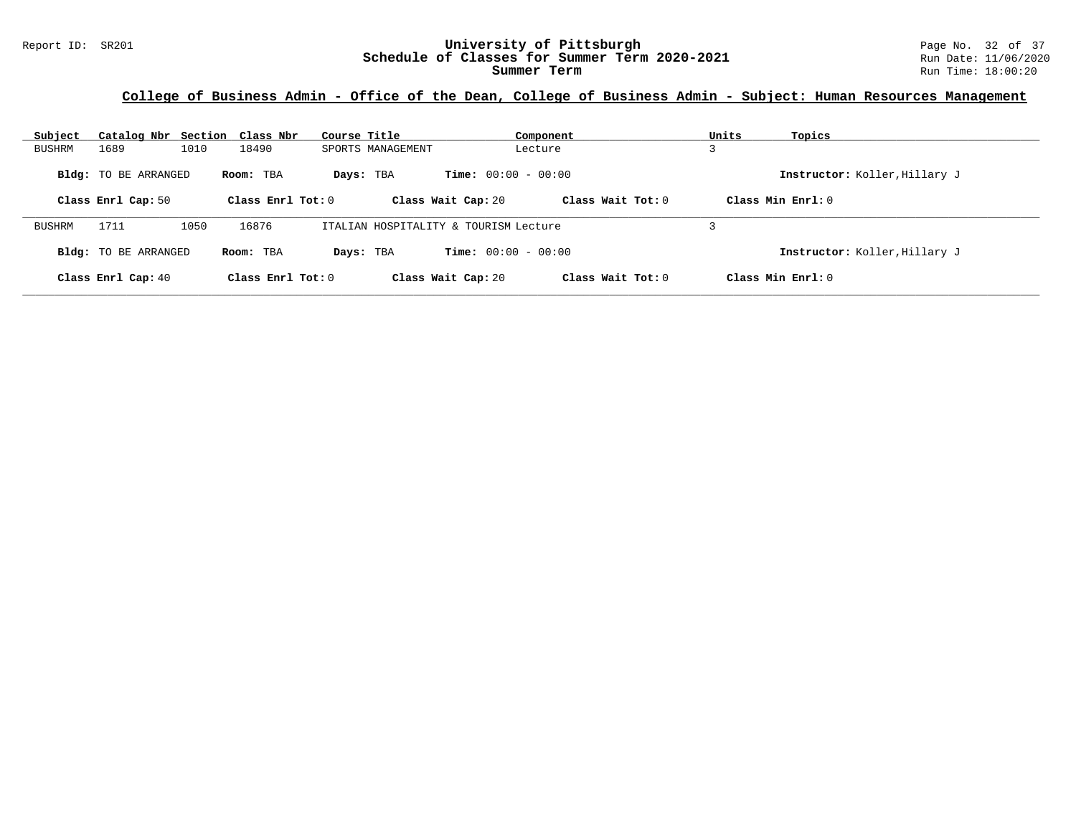## **College of Business Admin - Office of the Dean, College of Business Admin - Subject: Human Resources Management**

| Subject       | Catalog Nbr Section Class Nbr                     |      |                                  | Course Title |                   |                                                    | Component           | Units | Topics                                               |
|---------------|---------------------------------------------------|------|----------------------------------|--------------|-------------------|----------------------------------------------------|---------------------|-------|------------------------------------------------------|
| <b>BUSHRM</b> | 1689                                              | 1010 | 18490                            |              | SPORTS MANAGEMENT |                                                    | Lecture             |       |                                                      |
|               | <b>Bldg:</b> TO BE ARRANGED<br>Class Enrl Cap: 50 |      | Room: TBA<br>Class Enrl Tot: $0$ | Days: TBA    |                   | <b>Time:</b> $00:00 - 00:00$<br>Class Wait Cap: 20 | Class Wait Tot: $0$ |       | Instructor: Koller, Hillary J<br>Class Min $Enrl: 0$ |
|               |                                                   |      |                                  |              |                   |                                                    |                     |       |                                                      |
| <b>BUSHRM</b> | 1711                                              | 1050 | 16876                            |              |                   | ITALIAN HOSPITALITY & TOURISM Lecture              |                     |       |                                                      |
|               | <b>Bldg:</b> TO BE ARRANGED                       |      | Room: TBA                        | Days: TBA    |                   | <b>Time:</b> $00:00 - 00:00$                       |                     |       | Instructor: Koller, Hillary J                        |
|               | Class Enrl Cap: 40                                |      | Class Enrl Tot: $0$              |              |                   | Class Wait Cap: 20                                 | Class Wait Tot: 0   |       | Class Min Enrl: 0                                    |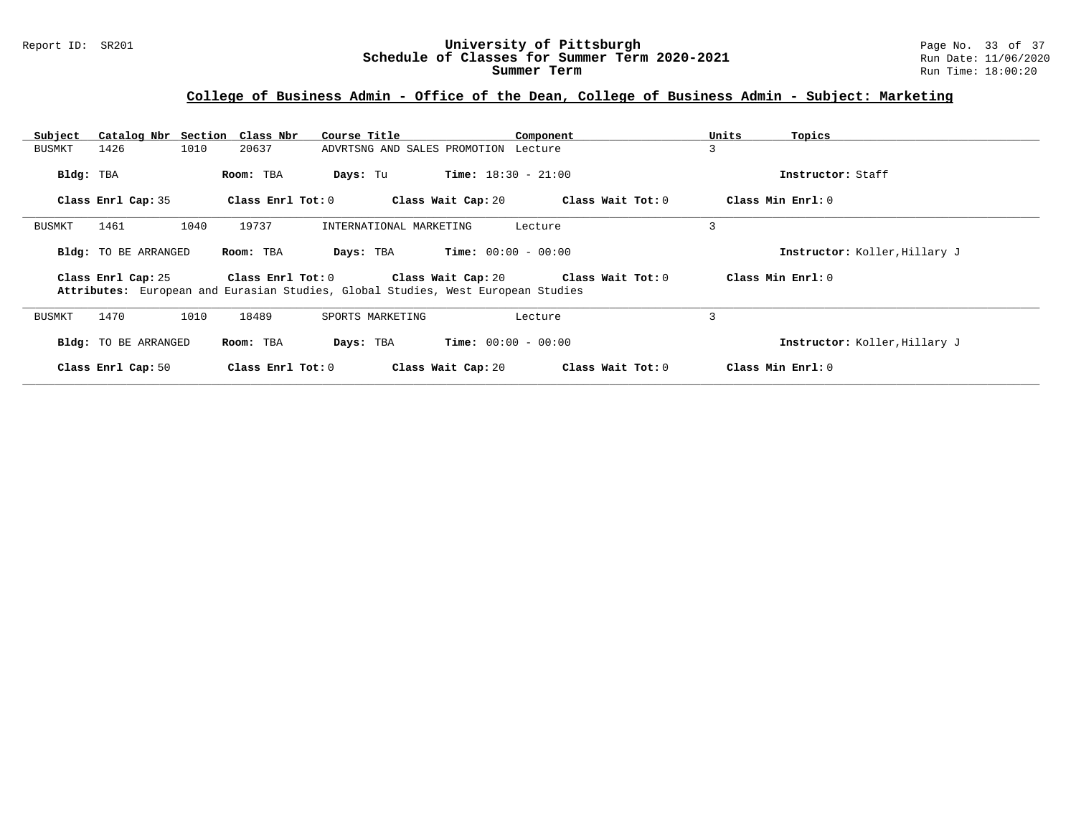## **College of Business Admin - Office of the Dean, College of Business Admin - Subject: Marketing**

| Subject   |                      | Catalog Nbr Section Class Nbr | Course Title            | Component                                                                                               | Units | Topics                        |
|-----------|----------------------|-------------------------------|-------------------------|---------------------------------------------------------------------------------------------------------|-------|-------------------------------|
| BUSMKT    | 1426                 | 1010<br>20637                 |                         | ADVRTSNG AND SALES PROMOTION Lecture                                                                    | 3     |                               |
| Bldg: TBA |                      | Room: TBA                     | Days: Tu                | <b>Time:</b> $18:30 - 21:00$                                                                            |       | Instructor: Staff             |
|           | Class Enrl Cap: 35   | Class Enrl Tot: 0             |                         | Class Wait Tot: 0<br>Class Wait Cap: 20                                                                 |       | Class Min Enrl: 0             |
| BUSMKT    | 1461                 | 1040<br>19737                 | INTERNATIONAL MARKETING | Lecture                                                                                                 | 3     |                               |
|           | Bldg: TO BE ARRANGED | Room: TBA                     | Days: TBA               | <b>Time:</b> $00:00 - 00:00$                                                                            |       | Instructor: Koller, Hillary J |
|           | Class Enrl Cap: 25   | Class Enrl Tot: 0             | Class Wait Cap: 20      | Class Wait Tot: $0$<br>Attributes: European and Eurasian Studies, Global Studies, West European Studies |       | Class Min Enrl: 0             |
| BUSMKT    | 1470                 | 1010<br>18489                 | SPORTS MARKETING        | Lecture                                                                                                 | 3     |                               |
|           | Bldg: TO BE ARRANGED | Room: TBA                     | Days: TBA               | <b>Time:</b> $00:00 - 00:00$                                                                            |       | Instructor: Koller, Hillary J |
|           | Class Enrl Cap: 50   | Class Enrl Tot: 0             |                         | Class Wait Cap: 20<br>Class Wait Tot: 0                                                                 |       | Class Min Enrl: 0             |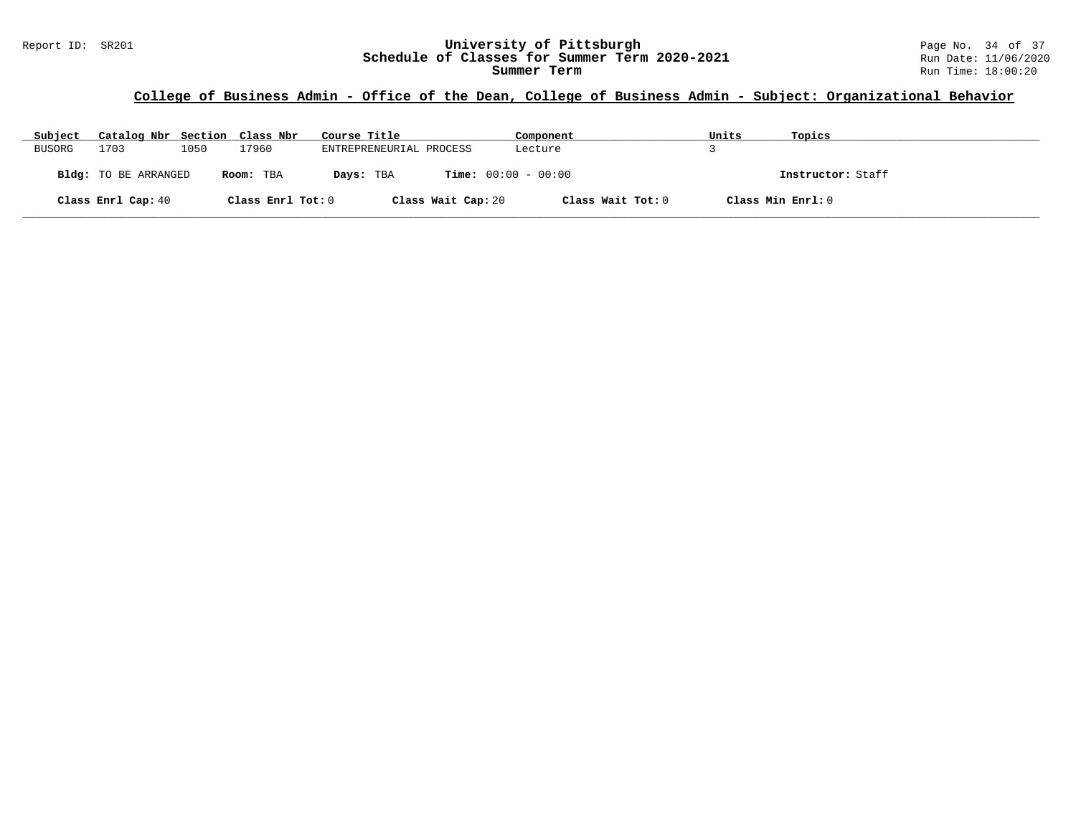## **College of Business Admin - Office of the Dean, College of Business Admin - Subject: Organizational Behavior**

| Subject | Catalog Nbr Section Class Nbr |      |                   | Course Title            | Component                    | Units | Topics            |
|---------|-------------------------------|------|-------------------|-------------------------|------------------------------|-------|-------------------|
| BUSORG  | 1703                          | 1050 | 17960             | ENTREPRENEURIAL PROCESS | Lecture                      |       |                   |
|         | <b>Bldg:</b> TO BE ARRANGED   |      | Room: TBA         | Days: TBA               | <b>Time:</b> $00:00 - 00:00$ |       | Instructor: Staff |
|         | Class Enrl Cap: 40            |      | Class Enrl Tot: 0 | Class Wait Cap: 20      | Class Wait Tot: 0            |       | Class Min Enrl: 0 |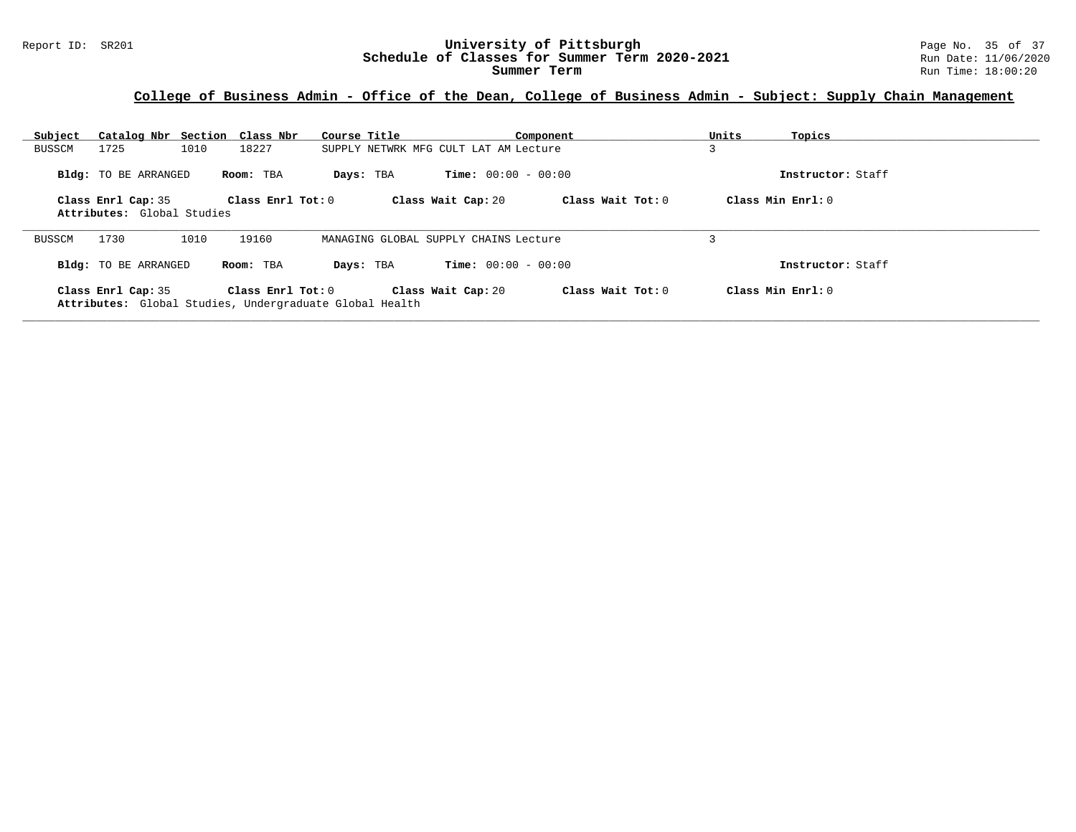## **College of Business Admin - Office of the Dean, College of Business Admin - Subject: Supply Chain Management**

| Subject       |                                                  | Catalog Nbr Section Class Nbr                                                | Course Title                          |                              | Component           | Units | Topics            |
|---------------|--------------------------------------------------|------------------------------------------------------------------------------|---------------------------------------|------------------------------|---------------------|-------|-------------------|
| <b>BUSSCM</b> | 1725                                             | 1010<br>18227                                                                | SUPPLY NETWRK MFG CULT LAT AM Lecture |                              |                     | 3     |                   |
|               | <b>Bldg:</b> TO BE ARRANGED                      | Room: TBA                                                                    | Days: TBA                             | <b>Time:</b> $00:00 - 00:00$ |                     |       | Instructor: Staff |
|               | Class Enrl Cap: 35<br>Attributes: Global Studies | $Class$ $Enr1$ $Tot: 0$                                                      |                                       | Class Wait Cap: 20           | Class Wait Tot: 0   |       | Class Min Enrl: 0 |
| <b>BUSSCM</b> | 1730                                             | 1010<br>19160                                                                | MANAGING GLOBAL SUPPLY CHAINS Lecture |                              |                     |       |                   |
|               | <b>Bldg:</b> TO BE ARRANGED                      | Room: TBA                                                                    | Days: TBA                             | <b>Time:</b> $00:00 - 00:00$ |                     |       | Instructor: Staff |
|               | Class Enrl Cap: 35                               | Class Enrl Tot: 0<br>Attributes: Global Studies, Undergraduate Global Health |                                       | Class Wait Cap: 20           | Class Wait Tot: $0$ |       | Class Min Enrl: 0 |